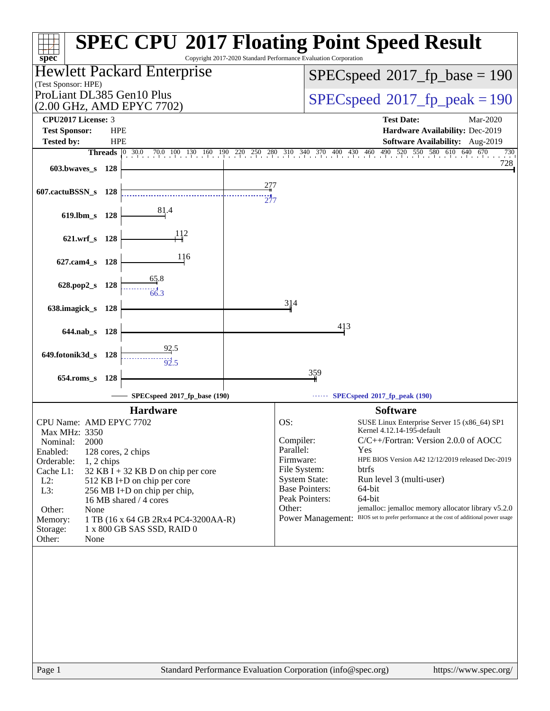| Copyright 2017-2020 Standard Performance Evaluation Corporation<br>$spec^*$                                                                                                                                                                                                                                                                                                                                               | <b>SPEC CPU®2017 Floating Point Speed Result</b>                                                                                                                                                                                                                                                                                                                                                                                                                                                                                             |
|---------------------------------------------------------------------------------------------------------------------------------------------------------------------------------------------------------------------------------------------------------------------------------------------------------------------------------------------------------------------------------------------------------------------------|----------------------------------------------------------------------------------------------------------------------------------------------------------------------------------------------------------------------------------------------------------------------------------------------------------------------------------------------------------------------------------------------------------------------------------------------------------------------------------------------------------------------------------------------|
| Hewlett Packard Enterprise<br>(Test Sponsor: HPE)                                                                                                                                                                                                                                                                                                                                                                         | $SPEC speed^{\circ}2017\_fp\_base = 190$                                                                                                                                                                                                                                                                                                                                                                                                                                                                                                     |
| ProLiant DL385 Gen10 Plus<br>(2.00 GHz, AMD EPYC 7702)                                                                                                                                                                                                                                                                                                                                                                    | $SPEC speed^{\circ}2017$ fp peak = 190                                                                                                                                                                                                                                                                                                                                                                                                                                                                                                       |
| <b>CPU2017 License: 3</b><br><b>HPE</b>                                                                                                                                                                                                                                                                                                                                                                                   | <b>Test Date:</b><br>Mar-2020                                                                                                                                                                                                                                                                                                                                                                                                                                                                                                                |
| <b>Test Sponsor:</b><br><b>HPE</b><br><b>Tested by:</b>                                                                                                                                                                                                                                                                                                                                                                   | Hardware Availability: Dec-2019<br>Software Availability: Aug-2019                                                                                                                                                                                                                                                                                                                                                                                                                                                                           |
| Threads                                                                                                                                                                                                                                                                                                                                                                                                                   | $\begin{bmatrix} 0 & 30.0 & 70.0 & 100 & 130 & 160 & 190 & 220 & 250 & 280 & 310 & 340 & 370 & 400 & 430 & 460 & 490 & 520 & 550 & 580 & 610 & 640 & 670 \end{bmatrix}$<br>730                                                                                                                                                                                                                                                                                                                                                               |
| 603.bwaves s 128                                                                                                                                                                                                                                                                                                                                                                                                          | 728                                                                                                                                                                                                                                                                                                                                                                                                                                                                                                                                          |
| 607.cactuBSSN_s 128                                                                                                                                                                                                                                                                                                                                                                                                       |                                                                                                                                                                                                                                                                                                                                                                                                                                                                                                                                              |
| 619.lbm_s 128                                                                                                                                                                                                                                                                                                                                                                                                             |                                                                                                                                                                                                                                                                                                                                                                                                                                                                                                                                              |
| 112<br>621.wrf_s 128                                                                                                                                                                                                                                                                                                                                                                                                      |                                                                                                                                                                                                                                                                                                                                                                                                                                                                                                                                              |
| 116<br>627.cam4_s 128                                                                                                                                                                                                                                                                                                                                                                                                     |                                                                                                                                                                                                                                                                                                                                                                                                                                                                                                                                              |
| 628.pop2_s 128                                                                                                                                                                                                                                                                                                                                                                                                            |                                                                                                                                                                                                                                                                                                                                                                                                                                                                                                                                              |
| 638.imagick_s 128                                                                                                                                                                                                                                                                                                                                                                                                         | 314                                                                                                                                                                                                                                                                                                                                                                                                                                                                                                                                          |
| 644.nab s 128                                                                                                                                                                                                                                                                                                                                                                                                             | 413                                                                                                                                                                                                                                                                                                                                                                                                                                                                                                                                          |
| $\frac{92.5}{92.5}$<br>649.fotonik3d_s<br>- 128                                                                                                                                                                                                                                                                                                                                                                           |                                                                                                                                                                                                                                                                                                                                                                                                                                                                                                                                              |
| 654.roms_s 128                                                                                                                                                                                                                                                                                                                                                                                                            | 359                                                                                                                                                                                                                                                                                                                                                                                                                                                                                                                                          |
| SPECspeed®2017_fp_base (190)                                                                                                                                                                                                                                                                                                                                                                                              | SPECspeed®2017_fp_peak (190)                                                                                                                                                                                                                                                                                                                                                                                                                                                                                                                 |
| <b>Hardware</b>                                                                                                                                                                                                                                                                                                                                                                                                           | <b>Software</b>                                                                                                                                                                                                                                                                                                                                                                                                                                                                                                                              |
| CPU Name: AMD EPYC 7702<br>Max MHz: 3350<br>Nominal:<br>2000<br>Enabled:<br>128 cores, 2 chips<br>Orderable:<br>$1, 2$ chips<br>Cache L1:<br>32 KB I + 32 KB D on chip per core<br>$L2$ :<br>512 KB I+D on chip per core<br>L3:<br>256 MB I+D on chip per chip,<br>16 MB shared / 4 cores<br>Other:<br>None<br>1 TB (16 x 64 GB 2Rx4 PC4-3200AA-R)<br>Memory:<br>1 x 800 GB SAS SSD, RAID 0<br>Storage:<br>Other:<br>None | OS:<br>SUSE Linux Enterprise Server 15 (x86_64) SP1<br>Kernel 4.12.14-195-default<br>C/C++/Fortran: Version 2.0.0 of AOCC<br>Compiler:<br>Parallel:<br>Yes<br>Firmware:<br>HPE BIOS Version A42 12/12/2019 released Dec-2019<br>File System:<br>btrfs<br><b>System State:</b><br>Run level 3 (multi-user)<br><b>Base Pointers:</b><br>64-bit<br>Peak Pointers:<br>64-bit<br>Other:<br>jemalloc: jemalloc memory allocator library v5.2.0<br>BIOS set to prefer performance at the cost of additional power usage<br><b>Power Management:</b> |
| Page 1                                                                                                                                                                                                                                                                                                                                                                                                                    | Standard Performance Evaluation Corporation (info@spec.org)<br>https://www.spec.org/                                                                                                                                                                                                                                                                                                                                                                                                                                                         |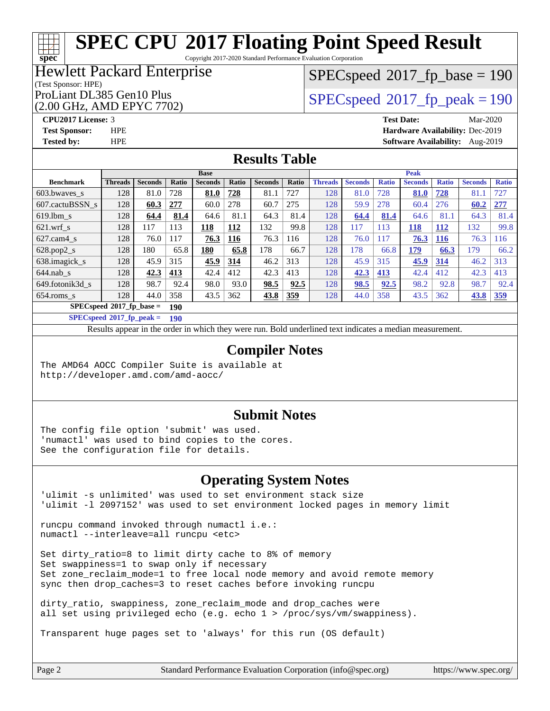Copyright 2017-2020 Standard Performance Evaluation Corporation

## Hewlett Packard Enterprise

#### (Test Sponsor: HPE)

(2.00 GHz, AMD EPYC 7702)

[SPECspeed](http://www.spec.org/auto/cpu2017/Docs/result-fields.html#SPECspeed2017fpbase)<sup>®</sup>2017 fp base = 190

ProLiant DL385 Gen10 Plus  $SPEC speed@2017$  fp\_peak = 190

**[spec](http://www.spec.org/)**

**[CPU2017 License:](http://www.spec.org/auto/cpu2017/Docs/result-fields.html#CPU2017License)** 3 **[Test Date:](http://www.spec.org/auto/cpu2017/Docs/result-fields.html#TestDate)** Mar-2020 **[Test Sponsor:](http://www.spec.org/auto/cpu2017/Docs/result-fields.html#TestSponsor)** HPE **[Hardware Availability:](http://www.spec.org/auto/cpu2017/Docs/result-fields.html#HardwareAvailability)** Dec-2019 **[Tested by:](http://www.spec.org/auto/cpu2017/Docs/result-fields.html#Testedby)** HPE **[Software Availability:](http://www.spec.org/auto/cpu2017/Docs/result-fields.html#SoftwareAvailability)** Aug-2019

### **[Results Table](http://www.spec.org/auto/cpu2017/Docs/result-fields.html#ResultsTable)**

| <b>Base</b>                        |                |                |       |                |              |                | <b>Peak</b> |                |                |              |                |              |                |              |
|------------------------------------|----------------|----------------|-------|----------------|--------------|----------------|-------------|----------------|----------------|--------------|----------------|--------------|----------------|--------------|
| <b>Benchmark</b>                   | <b>Threads</b> | <b>Seconds</b> | Ratio | <b>Seconds</b> | <b>Ratio</b> | <b>Seconds</b> | Ratio       | <b>Threads</b> | <b>Seconds</b> | <b>Ratio</b> | <b>Seconds</b> | <b>Ratio</b> | <b>Seconds</b> | <b>Ratio</b> |
| $603.bwaves$ s                     | 128            | 81.0           | 728   | 81.0           | 728          | 81.1           | 727         | 128            | 81.0           | 728          | 81.0           | 728          | 81.1           | 727          |
| 607.cactuBSSN s                    | 128            | 60.3           | 277   | 60.0           | 278          | 60.7           | 275         | 128            | 59.9           | 278          | 60.4           | 276          | 60.2           | 277          |
| $619.1$ bm s                       | 128            | 64.4           | 81.4  | 64.6           | 81.1         | 64.3           | 81.4        | 128            | 64.4           | 81.4         | 64.6           | 81.1         | 64.3           | 81.4         |
| $621$ .wrf s                       | 128            | 117            | 113   | 118            | 112          | 132            | 99.8        | 128            | 117            | 113          | <u>118</u>     | <b>112</b>   | 132            | 99.8         |
| $627$ .cam $4 \text{ s}$           | 128            | 76.0           | 117   | 76.3           | 116          | 76.3           | 116         | 128            | 76.0           | 117          | 76.3           | 116          | 76.3           | 116          |
| $628.pop2_s$                       | 128            | 180            | 65.8  | 180            | 65.8         | 178            | 66.7        | 128            | 178            | 66.8         | 179            | 66.3         | 179            | 66.2         |
| 638.imagick_s                      | 128            | 45.9           | 315   | 45.9           | 314          | 46.2           | 313         | 128            | 45.9           | 315          | 45.9           | 314          | 46.2           | 313          |
| $644$ .nab s                       | 128            | 42.3           | 413   | 42.4           | 412          | 42.3           | 413         | 128            | 42.3           | 413          | 42.4           | 412          | 42.3           | 413          |
| 649.fotonik3d s                    | 128            | 98.7           | 92.4  | 98.0           | 93.0         | 98.5           | 92.5        | 128            | 98.5           | 92.5         | 98.2           | 92.8         | 98.7           | 92.4         |
| $654$ .roms s                      | 128            | 44.0           | 358   | 43.5           | 362          | 43.8           | 359         | 128            | 44.0           | 358          | 43.5           | 362          | 43.8           | <u>359</u>   |
| $SPECspeed^*2017$ fp base =<br>190 |                |                |       |                |              |                |             |                |                |              |                |              |                |              |

**[SPECspeed](http://www.spec.org/auto/cpu2017/Docs/result-fields.html#SPECspeed2017fppeak)[2017\\_fp\\_peak =](http://www.spec.org/auto/cpu2017/Docs/result-fields.html#SPECspeed2017fppeak) 190**

Results appear in the [order in which they were run.](http://www.spec.org/auto/cpu2017/Docs/result-fields.html#RunOrder) Bold underlined text [indicates a median measurement](http://www.spec.org/auto/cpu2017/Docs/result-fields.html#Median).

#### **[Compiler Notes](http://www.spec.org/auto/cpu2017/Docs/result-fields.html#CompilerNotes)**

The AMD64 AOCC Compiler Suite is available at <http://developer.amd.com/amd-aocc/>

#### **[Submit Notes](http://www.spec.org/auto/cpu2017/Docs/result-fields.html#SubmitNotes)**

The config file option 'submit' was used. 'numactl' was used to bind copies to the cores. See the configuration file for details.

#### **[Operating System Notes](http://www.spec.org/auto/cpu2017/Docs/result-fields.html#OperatingSystemNotes)**

'ulimit -s unlimited' was used to set environment stack size 'ulimit -l 2097152' was used to set environment locked pages in memory limit

runcpu command invoked through numactl i.e.: numactl --interleave=all runcpu <etc>

Set dirty\_ratio=8 to limit dirty cache to 8% of memory Set swappiness=1 to swap only if necessary Set zone\_reclaim\_mode=1 to free local node memory and avoid remote memory sync then drop\_caches=3 to reset caches before invoking runcpu

dirty ratio, swappiness, zone reclaim mode and drop caches were all set using privileged echo (e.g. echo 1 > /proc/sys/vm/swappiness).

Transparent huge pages set to 'always' for this run (OS default)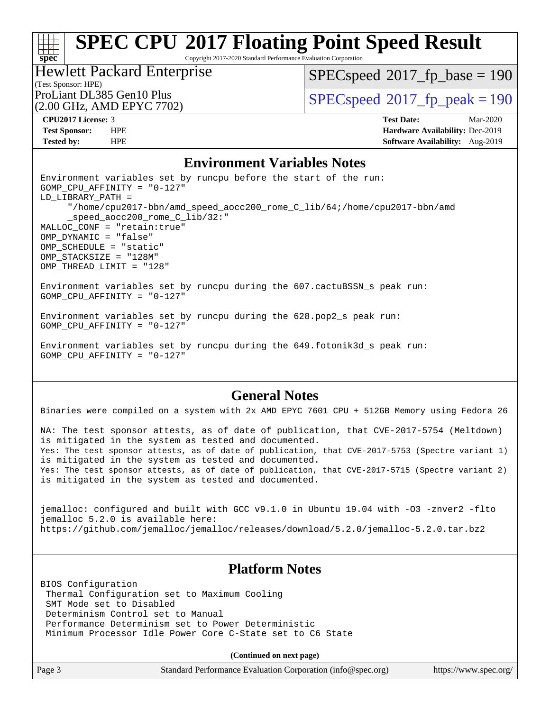Copyright 2017-2020 Standard Performance Evaluation Corporation

(Test Sponsor: HPE) Hewlett Packard Enterprise (2.00 GHz, AMD EPYC 7702)

 $SPEC speed^{\circ}2017\_fp\_base = 190$ 

ProLiant DL385 Gen10 Plus  $SPEC speed@2017$  fp\_peak = 190

**[spec](http://www.spec.org/)**

**[CPU2017 License:](http://www.spec.org/auto/cpu2017/Docs/result-fields.html#CPU2017License)** 3 **[Test Date:](http://www.spec.org/auto/cpu2017/Docs/result-fields.html#TestDate)** Mar-2020 **[Test Sponsor:](http://www.spec.org/auto/cpu2017/Docs/result-fields.html#TestSponsor)** HPE **[Hardware Availability:](http://www.spec.org/auto/cpu2017/Docs/result-fields.html#HardwareAvailability)** Dec-2019 **[Tested by:](http://www.spec.org/auto/cpu2017/Docs/result-fields.html#Testedby)** HPE **[Software Availability:](http://www.spec.org/auto/cpu2017/Docs/result-fields.html#SoftwareAvailability)** Aug-2019

#### **[Environment Variables Notes](http://www.spec.org/auto/cpu2017/Docs/result-fields.html#EnvironmentVariablesNotes)**

Environment variables set by runcpu before the start of the run: GOMP\_CPU\_AFFINITY = "0-127" LD\_LIBRARY\_PATH = "/home/cpu2017-bbn/amd\_speed\_aocc200\_rome\_C\_lib/64;/home/cpu2017-bbn/amd \_speed\_aocc200\_rome\_C\_lib/32:" MALLOC\_CONF = "retain:true" OMP\_DYNAMIC = "false" OMP\_SCHEDULE = "static" OMP\_STACKSIZE = "128M" OMP\_THREAD\_LIMIT = "128" Environment variables set by runcpu during the 607.cactuBSSN\_s peak run: GOMP\_CPU\_AFFINITY = "0-127" Environment variables set by runcpu during the 628.pop2\_s peak run: GOMP\_CPU\_AFFINITY = "0-127"

Environment variables set by runcpu during the 649.fotonik3d\_s peak run: GOMP\_CPU\_AFFINITY = "0-127"

### **[General Notes](http://www.spec.org/auto/cpu2017/Docs/result-fields.html#GeneralNotes)**

Binaries were compiled on a system with 2x AMD EPYC 7601 CPU + 512GB Memory using Fedora 26

NA: The test sponsor attests, as of date of publication, that CVE-2017-5754 (Meltdown) is mitigated in the system as tested and documented. Yes: The test sponsor attests, as of date of publication, that CVE-2017-5753 (Spectre variant 1) is mitigated in the system as tested and documented. Yes: The test sponsor attests, as of date of publication, that CVE-2017-5715 (Spectre variant 2) is mitigated in the system as tested and documented.

jemalloc: configured and built with GCC v9.1.0 in Ubuntu 19.04 with -O3 -znver2 -flto jemalloc 5.2.0 is available here: <https://github.com/jemalloc/jemalloc/releases/download/5.2.0/jemalloc-5.2.0.tar.bz2>

### **[Platform Notes](http://www.spec.org/auto/cpu2017/Docs/result-fields.html#PlatformNotes)**

BIOS Configuration Thermal Configuration set to Maximum Cooling SMT Mode set to Disabled Determinism Control set to Manual Performance Determinism set to Power Deterministic Minimum Processor Idle Power Core C-State set to C6 State

**(Continued on next page)**

| nce Evaluation Corporation (info@spec.org)<br>https://www.spec.org |  |  |  |  |  |  |
|--------------------------------------------------------------------|--|--|--|--|--|--|
|--------------------------------------------------------------------|--|--|--|--|--|--|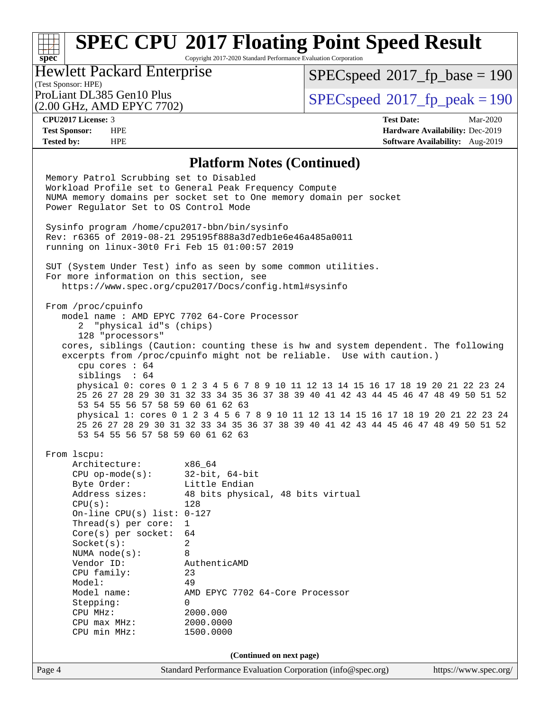Copyright 2017-2020 Standard Performance Evaluation Corporation

## (Test Sponsor: HPE)<br>ProLiant DL385 Gen10 Plus Hewlett Packard Enterprise

(2.00 GHz, AMD EPYC 7702)

 $SPEC speed$ <sup>®</sup>[2017\\_fp\\_base = 1](http://www.spec.org/auto/cpu2017/Docs/result-fields.html#SPECspeed2017fpbase)90

 $SPECspeed*2017_fp\_peak = 190$  $SPECspeed*2017_fp\_peak = 190$ 

**[spec](http://www.spec.org/)**

**[CPU2017 License:](http://www.spec.org/auto/cpu2017/Docs/result-fields.html#CPU2017License)** 3 **[Test Date:](http://www.spec.org/auto/cpu2017/Docs/result-fields.html#TestDate)** Mar-2020 **[Test Sponsor:](http://www.spec.org/auto/cpu2017/Docs/result-fields.html#TestSponsor)** HPE **[Hardware Availability:](http://www.spec.org/auto/cpu2017/Docs/result-fields.html#HardwareAvailability)** Dec-2019 **[Tested by:](http://www.spec.org/auto/cpu2017/Docs/result-fields.html#Testedby)** HPE **[Software Availability:](http://www.spec.org/auto/cpu2017/Docs/result-fields.html#SoftwareAvailability)** Aug-2019

#### **[Platform Notes \(Continued\)](http://www.spec.org/auto/cpu2017/Docs/result-fields.html#PlatformNotes)**

| Memory Patrol Scrubbing set to Disabled<br>Workload Profile set to General Peak Frequency Compute<br>NUMA memory domains per socket set to One memory domain per socket<br>Power Regulator Set to OS Control Mode                                                                                                                                        |                                                                                                                                                                                                                                                                                                                                                                                                                                                                                                                       |                       |  |  |  |
|----------------------------------------------------------------------------------------------------------------------------------------------------------------------------------------------------------------------------------------------------------------------------------------------------------------------------------------------------------|-----------------------------------------------------------------------------------------------------------------------------------------------------------------------------------------------------------------------------------------------------------------------------------------------------------------------------------------------------------------------------------------------------------------------------------------------------------------------------------------------------------------------|-----------------------|--|--|--|
| Sysinfo program /home/cpu2017-bbn/bin/sysinfo<br>Rev: r6365 of 2019-08-21 295195f888a3d7edble6e46a485a0011<br>running on linux-30t0 Fri Feb 15 01:00:57 2019                                                                                                                                                                                             |                                                                                                                                                                                                                                                                                                                                                                                                                                                                                                                       |                       |  |  |  |
| For more information on this section, see                                                                                                                                                                                                                                                                                                                | SUT (System Under Test) info as seen by some common utilities.<br>https://www.spec.org/cpu2017/Docs/config.html#sysinfo                                                                                                                                                                                                                                                                                                                                                                                               |                       |  |  |  |
| From /proc/cpuinfo<br>model name : AMD EPYC 7702 64-Core Processor<br>2 "physical id"s (chips)<br>128 "processors"<br>cpu cores $: 64$<br>siblings : 64<br>53 54 55 56 57 58 59 60 61 62 63<br>53 54 55 56 57 58 59 60 61 62 63                                                                                                                          | cores, siblings (Caution: counting these is hw and system dependent. The following<br>excerpts from /proc/cpuinfo might not be reliable. Use with caution.)<br>physical 0: cores 0 1 2 3 4 5 6 7 8 9 10 11 12 13 14 15 16 17 18 19 20 21 22 23 24<br>25 26 27 28 29 30 31 32 33 34 35 36 37 38 39 40 41 42 43 44 45 46 47 48 49 50 51 52<br>physical 1: cores 0 1 2 3 4 5 6 7 8 9 10 11 12 13 14 15 16 17 18 19 20 21 22 23 24<br>25 26 27 28 29 30 31 32 33 34 35 36 37 38 39 40 41 42 43 44 45 46 47 48 49 50 51 52 |                       |  |  |  |
| From lscpu:<br>Architecture: x86_64<br>CPU op-mode(s): $32-bit, 64-bit$<br>Byte Order:<br>Address sizes:<br>CPU(s):<br>On-line CPU(s) list: $0-127$<br>Thread(s) per core: $1$<br>Core(s) per socket: $64$<br>Socket(s):<br>NUMA node(s):<br>Vendor ID:<br>CPU family:<br>Model:<br>Model name:<br>Stepping:<br>CPU MHz:<br>CPU max MHz:<br>CPU min MHz: | Little Endian<br>48 bits physical, 48 bits virtual<br>128<br>2<br>8<br>AuthenticAMD<br>23<br>49<br>AMD EPYC 7702 64-Core Processor<br>0<br>2000.000<br>2000.0000<br>1500.0000                                                                                                                                                                                                                                                                                                                                         |                       |  |  |  |
|                                                                                                                                                                                                                                                                                                                                                          | (Continued on next page)                                                                                                                                                                                                                                                                                                                                                                                                                                                                                              |                       |  |  |  |
| Page 4                                                                                                                                                                                                                                                                                                                                                   | Standard Performance Evaluation Corporation (info@spec.org)                                                                                                                                                                                                                                                                                                                                                                                                                                                           | https://www.spec.org/ |  |  |  |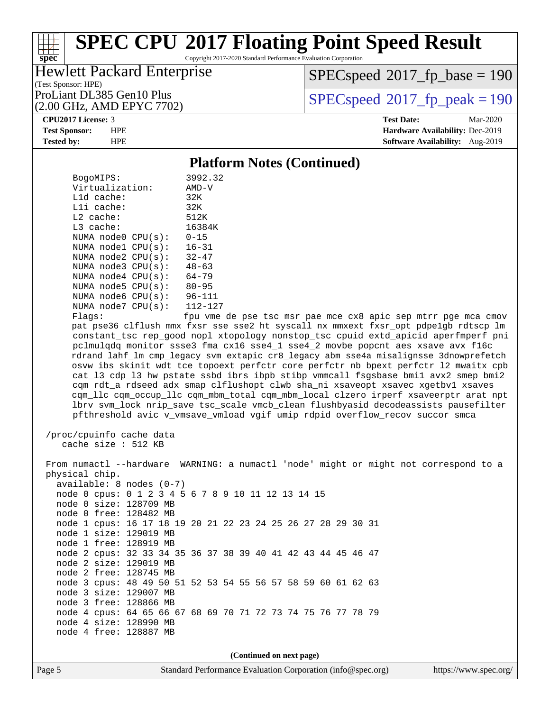Copyright 2017-2020 Standard Performance Evaluation Corporation

### (Test Sponsor: HPE) Hewlett Packard Enterprise

(2.00 GHz, AMD EPYC 7702)

[SPECspeed](http://www.spec.org/auto/cpu2017/Docs/result-fields.html#SPECspeed2017fpbase)<sup>®</sup>2017 fp base = 190

ProLiant DL385 Gen10 Plus  $SPEC speed@2017$  fp\_peak = 190

#### **[CPU2017 License:](http://www.spec.org/auto/cpu2017/Docs/result-fields.html#CPU2017License)** 3 **[Test Date:](http://www.spec.org/auto/cpu2017/Docs/result-fields.html#TestDate)** Mar-2020

**[spec](http://www.spec.org/)**

**[Test Sponsor:](http://www.spec.org/auto/cpu2017/Docs/result-fields.html#TestSponsor)** HPE **[Hardware Availability:](http://www.spec.org/auto/cpu2017/Docs/result-fields.html#HardwareAvailability)** Dec-2019 **[Tested by:](http://www.spec.org/auto/cpu2017/Docs/result-fields.html#Testedby)** HPE **[Software Availability:](http://www.spec.org/auto/cpu2017/Docs/result-fields.html#SoftwareAvailability)** Aug-2019

#### **[Platform Notes \(Continued\)](http://www.spec.org/auto/cpu2017/Docs/result-fields.html#PlatformNotes)**

| BogoMIPS:                  | 3992.32     |
|----------------------------|-------------|
| Virtualization:            | AMD-V       |
| $L1d$ cache:               | 32K         |
| Lli cache:                 | 32K         |
| $L2$ cache:                | 512K        |
| $L3$ cache:                | 16384K      |
| NUMA node0 CPU(s):         | $0 - 15$    |
| NUMA node1 CPU(s):         | $16 - 31$   |
| NUMA node2 $CPU(s):$ 32-47 |             |
| NUMA node3 CPU(s):         | $48 - 63$   |
| NUMA node4 CPU(s):         | $64 - 79$   |
| NUMA node5 CPU(s):         | $80 - 95$   |
| NUMA node6 CPU(s):         | $96 - 111$  |
| NUMA node7 CPU(s):         | $112 - 127$ |
| Flaqs:                     | fpu vme de  |

pse tsc msr pae mce cx8 apic sep mtrr pge mca cmov pat pse36 clflush mmx fxsr sse sse2 ht syscall nx mmxext fxsr\_opt pdpe1gb rdtscp lm constant\_tsc rep\_good nopl xtopology nonstop\_tsc cpuid extd\_apicid aperfmperf pni pclmulqdq monitor ssse3 fma cx16 sse4\_1 sse4\_2 movbe popcnt aes xsave avx f16c rdrand lahf\_lm cmp\_legacy svm extapic cr8\_legacy abm sse4a misalignsse 3dnowprefetch osvw ibs skinit wdt tce topoext perfctr\_core perfctr\_nb bpext perfctr\_l2 mwaitx cpb cat\_l3 cdp\_l3 hw\_pstate ssbd ibrs ibpb stibp vmmcall fsgsbase bmi1 avx2 smep bmi2 cqm rdt\_a rdseed adx smap clflushopt clwb sha\_ni xsaveopt xsavec xgetbv1 xsaves cqm\_llc cqm\_occup\_llc cqm\_mbm\_total cqm\_mbm\_local clzero irperf xsaveerptr arat npt lbrv svm\_lock nrip\_save tsc\_scale vmcb\_clean flushbyasid decodeassists pausefilter pfthreshold avic v\_vmsave\_vmload vgif umip rdpid overflow\_recov succor smca

```
 /proc/cpuinfo cache data
   cache size : 512 KB
```
 From numactl --hardware WARNING: a numactl 'node' might or might not correspond to a physical chip. available: 8 nodes (0-7) node 0 cpus: 0 1 2 3 4 5 6 7 8 9 10 11 12 13 14 15 node 0 size: 128709 MB node 0 free: 128482 MB node 1 cpus: 16 17 18 19 20 21 22 23 24 25 26 27 28 29 30 31 node 1 size: 129019 MB node 1 free: 128919 MB node 2 cpus: 32 33 34 35 36 37 38 39 40 41 42 43 44 45 46 47 node 2 size: 129019 MB node 2 free: 128745 MB node 3 cpus: 48 49 50 51 52 53 54 55 56 57 58 59 60 61 62 63 node 3 size: 129007 MB node 3 free: 128866 MB node 4 cpus: 64 65 66 67 68 69 70 71 72 73 74 75 76 77 78 79 node 4 size: 128990 MB node 4 free: 128887 MB

**(Continued on next page)**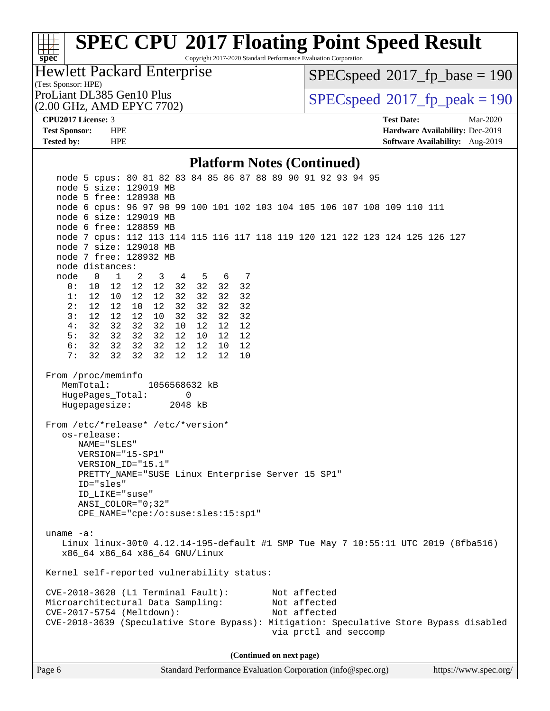Copyright 2017-2020 Standard Performance Evaluation Corporation

(Test Sponsor: HPE) Hewlett Packard Enterprise

[SPECspeed](http://www.spec.org/auto/cpu2017/Docs/result-fields.html#SPECspeed2017fpbase)<sup>®</sup>2017 fp base = 190

(2.00 GHz, AMD EPYC 7702)

ProLiant DL385 Gen10 Plus  $\vert$  [SPECspeed](http://www.spec.org/auto/cpu2017/Docs/result-fields.html#SPECspeed2017fppeak)®[2017\\_fp\\_peak = 1](http://www.spec.org/auto/cpu2017/Docs/result-fields.html#SPECspeed2017fppeak)90

**[spec](http://www.spec.org/)**

**[CPU2017 License:](http://www.spec.org/auto/cpu2017/Docs/result-fields.html#CPU2017License)** 3 **[Test Date:](http://www.spec.org/auto/cpu2017/Docs/result-fields.html#TestDate)** Mar-2020 **[Test Sponsor:](http://www.spec.org/auto/cpu2017/Docs/result-fields.html#TestSponsor)** HPE **[Hardware Availability:](http://www.spec.org/auto/cpu2017/Docs/result-fields.html#HardwareAvailability)** Dec-2019 **[Tested by:](http://www.spec.org/auto/cpu2017/Docs/result-fields.html#Testedby)** HPE **[Software Availability:](http://www.spec.org/auto/cpu2017/Docs/result-fields.html#SoftwareAvailability)** Aug-2019

#### **[Platform Notes \(Continued\)](http://www.spec.org/auto/cpu2017/Docs/result-fields.html#PlatformNotes)**

 node 5 cpus: 80 81 82 83 84 85 86 87 88 89 90 91 92 93 94 95 node 5 size: 129019 MB node 5 free: 128938 MB node 6 cpus: 96 97 98 99 100 101 102 103 104 105 106 107 108 109 110 111 node 6 size: 129019 MB node 6 free: 128859 MB node 7 cpus: 112 113 114 115 116 117 118 119 120 121 122 123 124 125 126 127 node 7 size: 129018 MB node 7 free: 128932 MB node distances: node 0 1 2 3 4 5 6 7 0: 10 12 12 12 32 32 32 32 1: 12 10 12 12 32 32 32 32 2: 12 12 10 12 32 32 32 32 3: 12 12 12 10 32 32 32 32 4: 32 32 32 32 10 12 12 12 5: 32 32 32 32 12 10 12 12 6: 32 32 32 32 12 12 10 12 7: 32 32 32 32 12 12 12 10 From /proc/meminfo MemTotal: 1056568632 kB HugePages\_Total: 0 Hugepagesize: 2048 kB From /etc/\*release\* /etc/\*version\* os-release: NAME="SLES" VERSION="15-SP1" VERSION\_ID="15.1" PRETTY\_NAME="SUSE Linux Enterprise Server 15 SP1" ID="sles" ID\_LIKE="suse" ANSI\_COLOR="0;32" CPE\_NAME="cpe:/o:suse:sles:15:sp1" uname -a: Linux linux-30t0 4.12.14-195-default #1 SMP Tue May 7 10:55:11 UTC 2019 (8fba516) x86\_64 x86\_64 x86\_64 GNU/Linux Kernel self-reported vulnerability status: CVE-2018-3620 (L1 Terminal Fault): Not affected Microarchitectural Data Sampling: Not affected CVE-2017-5754 (Meltdown): Not affected CVE-2018-3639 (Speculative Store Bypass): Mitigation: Speculative Store Bypass disabled via prctl and seccomp **(Continued on next page)**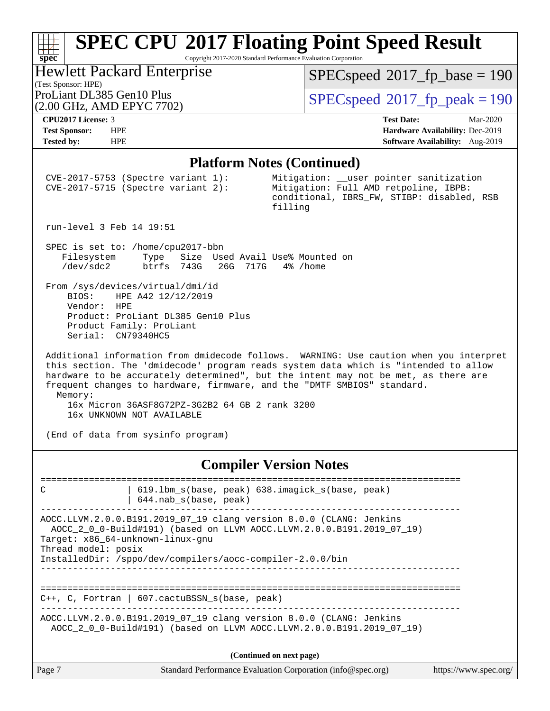Copyright 2017-2020 Standard Performance Evaluation Corporation

### (Test Sponsor: HPE)<br>ProLiant DL385 Gen10 Plus Hewlett Packard Enterprise (2.00 GHz, AMD EPYC 7702)

 $SPEC speed$ <sup>®</sup> $2017$ \_fp\_base = 190

 $SPECspeed*2017_fp\_peak = 190$  $SPECspeed*2017_fp\_peak = 190$ 

**[spec](http://www.spec.org/)**

**[CPU2017 License:](http://www.spec.org/auto/cpu2017/Docs/result-fields.html#CPU2017License)** 3 **[Test Date:](http://www.spec.org/auto/cpu2017/Docs/result-fields.html#TestDate)** Mar-2020 **[Test Sponsor:](http://www.spec.org/auto/cpu2017/Docs/result-fields.html#TestSponsor)** HPE **[Hardware Availability:](http://www.spec.org/auto/cpu2017/Docs/result-fields.html#HardwareAvailability)** Dec-2019 **[Tested by:](http://www.spec.org/auto/cpu2017/Docs/result-fields.html#Testedby)** HPE **[Software Availability:](http://www.spec.org/auto/cpu2017/Docs/result-fields.html#SoftwareAvailability)** Aug-2019

#### **[Platform Notes \(Continued\)](http://www.spec.org/auto/cpu2017/Docs/result-fields.html#PlatformNotes)**

|                                                         | CVE-2017-5753 (Spectre variant 1):<br>$CVE-2017-5715$ (Spectre variant 2):                                               | Mitigation: __user pointer sanitization<br>Mitigation: Full AMD retpoline, IBPB:<br>conditional, IBRS_FW, STIBP: disabled, RSB<br>filling                                                                                                                                                                                                      |                       |
|---------------------------------------------------------|--------------------------------------------------------------------------------------------------------------------------|------------------------------------------------------------------------------------------------------------------------------------------------------------------------------------------------------------------------------------------------------------------------------------------------------------------------------------------------|-----------------------|
| run-level 3 Feb 14 19:51                                |                                                                                                                          |                                                                                                                                                                                                                                                                                                                                                |                       |
| Filesystem<br>/dev/sdc2                                 | SPEC is set to: /home/cpu2017-bbn<br>Type<br>btrfs 743G 26G 717G 4% / home                                               | Size Used Avail Use% Mounted on                                                                                                                                                                                                                                                                                                                |                       |
| BIOS:<br>Vendor: HPE<br>Serial: CN79340HC5              | From /sys/devices/virtual/dmi/id<br>HPE A42 12/12/2019<br>Product: ProLiant DL385 Gen10 Plus<br>Product Family: ProLiant |                                                                                                                                                                                                                                                                                                                                                |                       |
| Memory:                                                 | 16x Micron 36ASF8G72PZ-3G2B2 64 GB 2 rank 3200                                                                           | Additional information from dmidecode follows. WARNING: Use caution when you interpret<br>this section. The 'dmidecode' program reads system data which is "intended to allow<br>hardware to be accurately determined", but the intent may not be met, as there are<br>frequent changes to hardware, firmware, and the "DMTF SMBIOS" standard. |                       |
|                                                         | 16x UNKNOWN NOT AVAILABLE<br>(End of data from sysinfo program)                                                          |                                                                                                                                                                                                                                                                                                                                                |                       |
|                                                         |                                                                                                                          | <b>Compiler Version Notes</b>                                                                                                                                                                                                                                                                                                                  |                       |
| ==========================<br>C                         | ====================<br>644.nab_s(base, peak)                                                                            | ===============================<br>619.1bm_s(base, peak) 638.imagick_s(base, peak)                                                                                                                                                                                                                                                             |                       |
| Target: x86_64-unknown-linux-gnu<br>Thread model: posix |                                                                                                                          | AOCC.LLVM.2.0.0.B191.2019_07_19 clang version 8.0.0 (CLANG: Jenkins<br>AOCC_2_0_0-Build#191) (based on LLVM AOCC.LLVM.2.0.0.B191.2019_07_19)                                                                                                                                                                                                   |                       |
|                                                         | InstalledDir: /sppo/dev/compilers/aocc-compiler-2.0.0/bin                                                                |                                                                                                                                                                                                                                                                                                                                                |                       |
| $C_{++}$ , C, Fortran                                   | 607. cactuBSSN s(base, peak)                                                                                             |                                                                                                                                                                                                                                                                                                                                                |                       |
|                                                         |                                                                                                                          | AOCC.LLVM.2.0.0.B191.2019_07_19 clang version 8.0.0 (CLANG: Jenkins<br>AOCC_2_0_0-Build#191) (based on LLVM AOCC.LLVM.2.0.0.B191.2019_07_19)                                                                                                                                                                                                   |                       |
|                                                         |                                                                                                                          | (Continued on next page)                                                                                                                                                                                                                                                                                                                       |                       |
| Page 7                                                  |                                                                                                                          | Standard Performance Evaluation Corporation (info@spec.org)                                                                                                                                                                                                                                                                                    | https://www.spec.org/ |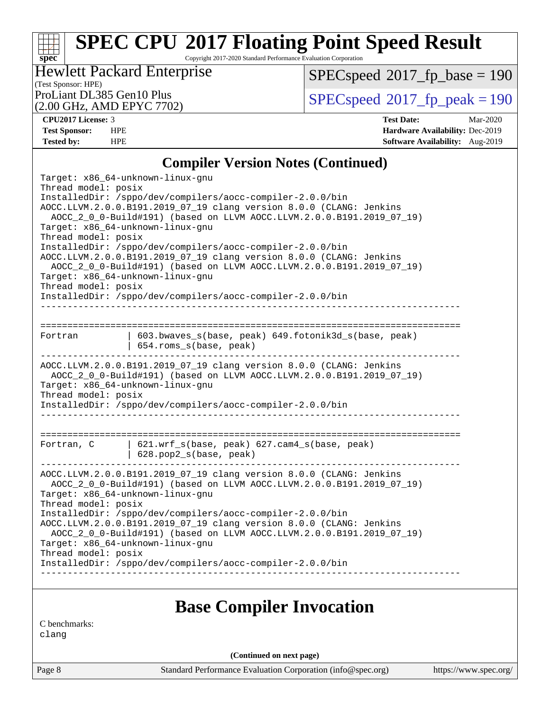Copyright 2017-2020 Standard Performance Evaluation Corporation

### (Test Sponsor: HPE) Hewlett Packard Enterprise

(2.00 GHz, AMD EPYC 7702)

 $SPECspeed^{\circledcirc}2017_fp\_base = 190$  $SPECspeed^{\circledcirc}2017_fp\_base = 190$ 

ProLiant DL385 Gen10 Plus  $\begin{array}{c} | \text{SPEC speed} \textdegree 2017 \text{ fp\_peak} = 190 \end{array}$ 

**[spec](http://www.spec.org/)**

**[CPU2017 License:](http://www.spec.org/auto/cpu2017/Docs/result-fields.html#CPU2017License)** 3 **[Test Date:](http://www.spec.org/auto/cpu2017/Docs/result-fields.html#TestDate)** Mar-2020 **[Test Sponsor:](http://www.spec.org/auto/cpu2017/Docs/result-fields.html#TestSponsor)** HPE **[Hardware Availability:](http://www.spec.org/auto/cpu2017/Docs/result-fields.html#HardwareAvailability)** Dec-2019 **[Tested by:](http://www.spec.org/auto/cpu2017/Docs/result-fields.html#Testedby)** HPE **[Software Availability:](http://www.spec.org/auto/cpu2017/Docs/result-fields.html#SoftwareAvailability)** Aug-2019

### **[Compiler Version Notes \(Continued\)](http://www.spec.org/auto/cpu2017/Docs/result-fields.html#CompilerVersionNotes)**

| Target: x86_64-unknown-linux-gnu<br>Thread model: posix<br>InstalledDir: /sppo/dev/compilers/aocc-compiler-2.0.0/bin<br>AOCC.LLVM.2.0.0.B191.2019_07_19 clang version 8.0.0 (CLANG: Jenkins<br>AOCC_2_0_0-Build#191) (based on LLVM AOCC.LLVM.2.0.0.B191.2019_07_19)<br>Target: x86_64-unknown-linux-gnu<br>Thread model: posix<br>InstalledDir: /sppo/dev/compilers/aocc-compiler-2.0.0/bin<br>AOCC.LLVM.2.0.0.B191.2019_07_19 clang version 8.0.0 (CLANG: Jenkins<br>AOCC_2_0_0-Build#191) (based on LLVM AOCC.LLVM.2.0.0.B191.2019_07_19)<br>Target: x86_64-unknown-linux-gnu<br>Thread model: posix<br>InstalledDir: /sppo/dev/compilers/aocc-compiler-2.0.0/bin |                                                                                |  |  |  |  |
|----------------------------------------------------------------------------------------------------------------------------------------------------------------------------------------------------------------------------------------------------------------------------------------------------------------------------------------------------------------------------------------------------------------------------------------------------------------------------------------------------------------------------------------------------------------------------------------------------------------------------------------------------------------------|--------------------------------------------------------------------------------|--|--|--|--|
|                                                                                                                                                                                                                                                                                                                                                                                                                                                                                                                                                                                                                                                                      |                                                                                |  |  |  |  |
| Fortran                                                                                                                                                                                                                                                                                                                                                                                                                                                                                                                                                                                                                                                              | 603.bwaves_s(base, peak) 649.fotonik3d_s(base, peak)<br>654.roms_s(base, peak) |  |  |  |  |
| AOCC.LLVM.2.0.0.B191.2019_07_19 clang version 8.0.0 (CLANG: Jenkins<br>AOCC_2_0_0-Build#191) (based on LLVM AOCC.LLVM.2.0.0.B191.2019_07_19)<br>Target: x86_64-unknown-linux-gnu<br>Thread model: posix<br>InstalledDir: /sppo/dev/compilers/aocc-compiler-2.0.0/bin                                                                                                                                                                                                                                                                                                                                                                                                 |                                                                                |  |  |  |  |
| Fortran, C                                                                                                                                                                                                                                                                                                                                                                                                                                                                                                                                                                                                                                                           | 621.wrf_s(base, peak) 627.cam4_s(base, peak)<br>628.pop2_s(base, peak)         |  |  |  |  |
| AOCC.LLVM.2.0.0.B191.2019_07_19 clang version 8.0.0 (CLANG: Jenkins<br>AOCC_2_0_0-Build#191) (based on LLVM AOCC.LLVM.2.0.0.B191.2019_07_19)<br>Target: x86_64-unknown-linux-gnu<br>Thread model: posix<br>InstalledDir: /sppo/dev/compilers/aocc-compiler-2.0.0/bin<br>AOCC.LLVM.2.0.0.B191.2019_07_19 clang version 8.0.0 (CLANG: Jenkins<br>AOCC_2_0_0-Build#191) (based on LLVM AOCC.LLVM.2.0.0.B191.2019_07_19)<br>Target: x86_64-unknown-linux-gnu<br>Thread model: posix<br>InstalledDir: /sppo/dev/compilers/aocc-compiler-2.0.0/bin                                                                                                                         |                                                                                |  |  |  |  |
|                                                                                                                                                                                                                                                                                                                                                                                                                                                                                                                                                                                                                                                                      |                                                                                |  |  |  |  |

## **[Base Compiler Invocation](http://www.spec.org/auto/cpu2017/Docs/result-fields.html#BaseCompilerInvocation)**

[C benchmarks:](http://www.spec.org/auto/cpu2017/Docs/result-fields.html#Cbenchmarks) [clang](http://www.spec.org/cpu2017/results/res2020q2/cpu2017-20200413-21984.flags.html#user_CCbase_clang-c)

**(Continued on next page)**

Page 8 Standard Performance Evaluation Corporation [\(info@spec.org\)](mailto:info@spec.org) <https://www.spec.org/>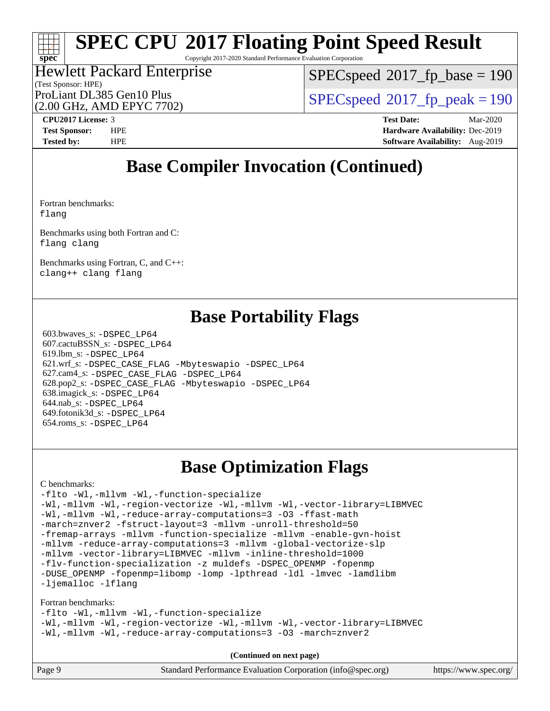Copyright 2017-2020 Standard Performance Evaluation Corporation

#### (Test Sponsor: HPE) Hewlett Packard Enterprise (2.00 GHz, AMD EPYC 7702)

[SPECspeed](http://www.spec.org/auto/cpu2017/Docs/result-fields.html#SPECspeed2017fpbase)<sup>®</sup>2017 fp base = 190

ProLiant DL385 Gen10 Plus  $SPEC speed@2017$  fp\_peak = 190

**[spec](http://www.spec.org/)**

**[CPU2017 License:](http://www.spec.org/auto/cpu2017/Docs/result-fields.html#CPU2017License)** 3 **[Test Date:](http://www.spec.org/auto/cpu2017/Docs/result-fields.html#TestDate)** Mar-2020 **[Test Sponsor:](http://www.spec.org/auto/cpu2017/Docs/result-fields.html#TestSponsor)** HPE **[Hardware Availability:](http://www.spec.org/auto/cpu2017/Docs/result-fields.html#HardwareAvailability)** Dec-2019 **[Tested by:](http://www.spec.org/auto/cpu2017/Docs/result-fields.html#Testedby)** HPE **[Software Availability:](http://www.spec.org/auto/cpu2017/Docs/result-fields.html#SoftwareAvailability)** Aug-2019

# **[Base Compiler Invocation \(Continued\)](http://www.spec.org/auto/cpu2017/Docs/result-fields.html#BaseCompilerInvocation)**

[Fortran benchmarks](http://www.spec.org/auto/cpu2017/Docs/result-fields.html#Fortranbenchmarks): [flang](http://www.spec.org/cpu2017/results/res2020q2/cpu2017-20200413-21984.flags.html#user_FCbase_flang)

[Benchmarks using both Fortran and C:](http://www.spec.org/auto/cpu2017/Docs/result-fields.html#BenchmarksusingbothFortranandC) [flang](http://www.spec.org/cpu2017/results/res2020q2/cpu2017-20200413-21984.flags.html#user_CC_FCbase_flang) [clang](http://www.spec.org/cpu2017/results/res2020q2/cpu2017-20200413-21984.flags.html#user_CC_FCbase_clang-c)

[Benchmarks using Fortran, C, and C++:](http://www.spec.org/auto/cpu2017/Docs/result-fields.html#BenchmarksusingFortranCandCXX) [clang++](http://www.spec.org/cpu2017/results/res2020q2/cpu2017-20200413-21984.flags.html#user_CC_CXX_FCbase_clang-cpp) [clang](http://www.spec.org/cpu2017/results/res2020q2/cpu2017-20200413-21984.flags.html#user_CC_CXX_FCbase_clang-c) [flang](http://www.spec.org/cpu2017/results/res2020q2/cpu2017-20200413-21984.flags.html#user_CC_CXX_FCbase_flang)

## **[Base Portability Flags](http://www.spec.org/auto/cpu2017/Docs/result-fields.html#BasePortabilityFlags)**

 603.bwaves\_s: [-DSPEC\\_LP64](http://www.spec.org/cpu2017/results/res2020q2/cpu2017-20200413-21984.flags.html#suite_baseEXTRA_PORTABILITY603_bwaves_s_DSPEC_LP64) 607.cactuBSSN\_s: [-DSPEC\\_LP64](http://www.spec.org/cpu2017/results/res2020q2/cpu2017-20200413-21984.flags.html#suite_baseEXTRA_PORTABILITY607_cactuBSSN_s_DSPEC_LP64) 619.lbm\_s: [-DSPEC\\_LP64](http://www.spec.org/cpu2017/results/res2020q2/cpu2017-20200413-21984.flags.html#suite_baseEXTRA_PORTABILITY619_lbm_s_DSPEC_LP64) 621.wrf\_s: [-DSPEC\\_CASE\\_FLAG](http://www.spec.org/cpu2017/results/res2020q2/cpu2017-20200413-21984.flags.html#b621.wrf_s_baseCPORTABILITY_DSPEC_CASE_FLAG) [-Mbyteswapio](http://www.spec.org/cpu2017/results/res2020q2/cpu2017-20200413-21984.flags.html#user_baseFPORTABILITY621_wrf_s_F-mbyteswapio_543c39ce38db59bcbc3b888917ef58c313007ae1c27520b689e012995ae261114051d1d5efcb4182d175ce22a6a15532d3a9999882dd2c360e6d853f41da6883) [-DSPEC\\_LP64](http://www.spec.org/cpu2017/results/res2020q2/cpu2017-20200413-21984.flags.html#suite_baseEXTRA_PORTABILITY621_wrf_s_DSPEC_LP64) 627.cam4\_s: [-DSPEC\\_CASE\\_FLAG](http://www.spec.org/cpu2017/results/res2020q2/cpu2017-20200413-21984.flags.html#b627.cam4_s_basePORTABILITY_DSPEC_CASE_FLAG) [-DSPEC\\_LP64](http://www.spec.org/cpu2017/results/res2020q2/cpu2017-20200413-21984.flags.html#suite_baseEXTRA_PORTABILITY627_cam4_s_DSPEC_LP64) 628.pop2\_s: [-DSPEC\\_CASE\\_FLAG](http://www.spec.org/cpu2017/results/res2020q2/cpu2017-20200413-21984.flags.html#b628.pop2_s_baseCPORTABILITY_DSPEC_CASE_FLAG) [-Mbyteswapio](http://www.spec.org/cpu2017/results/res2020q2/cpu2017-20200413-21984.flags.html#user_baseFPORTABILITY628_pop2_s_F-mbyteswapio_543c39ce38db59bcbc3b888917ef58c313007ae1c27520b689e012995ae261114051d1d5efcb4182d175ce22a6a15532d3a9999882dd2c360e6d853f41da6883) [-DSPEC\\_LP64](http://www.spec.org/cpu2017/results/res2020q2/cpu2017-20200413-21984.flags.html#suite_baseEXTRA_PORTABILITY628_pop2_s_DSPEC_LP64) 638.imagick\_s: [-DSPEC\\_LP64](http://www.spec.org/cpu2017/results/res2020q2/cpu2017-20200413-21984.flags.html#suite_baseEXTRA_PORTABILITY638_imagick_s_DSPEC_LP64) 644.nab\_s: [-DSPEC\\_LP64](http://www.spec.org/cpu2017/results/res2020q2/cpu2017-20200413-21984.flags.html#suite_baseEXTRA_PORTABILITY644_nab_s_DSPEC_LP64) 649.fotonik3d\_s: [-DSPEC\\_LP64](http://www.spec.org/cpu2017/results/res2020q2/cpu2017-20200413-21984.flags.html#suite_baseEXTRA_PORTABILITY649_fotonik3d_s_DSPEC_LP64) 654.roms\_s: [-DSPEC\\_LP64](http://www.spec.org/cpu2017/results/res2020q2/cpu2017-20200413-21984.flags.html#suite_baseEXTRA_PORTABILITY654_roms_s_DSPEC_LP64)

## **[Base Optimization Flags](http://www.spec.org/auto/cpu2017/Docs/result-fields.html#BaseOptimizationFlags)**

[C benchmarks](http://www.spec.org/auto/cpu2017/Docs/result-fields.html#Cbenchmarks):

[-flto](http://www.spec.org/cpu2017/results/res2020q2/cpu2017-20200413-21984.flags.html#user_CCbase_aocc-flto) [-Wl,-mllvm -Wl,-function-specialize](http://www.spec.org/cpu2017/results/res2020q2/cpu2017-20200413-21984.flags.html#user_CCbase_F-function-specialize_7e7e661e57922243ee67c9a1251cb8910e607325179a0ce7f2884e09a6f5d4a5ef0ae4f37e8a2a11c95fc48e931f06dc2b6016f14b511fcb441e048bef1b065a) [-Wl,-mllvm -Wl,-region-vectorize](http://www.spec.org/cpu2017/results/res2020q2/cpu2017-20200413-21984.flags.html#user_CCbase_F-region-vectorize_fb6c6b5aa293c88efc6c7c2b52b20755e943585b1fe8658c35afef78727fff56e1a56891413c30e36b8e2a6f9a71126986319243e80eb6110b78b288f533c52b) [-Wl,-mllvm -Wl,-vector-library=LIBMVEC](http://www.spec.org/cpu2017/results/res2020q2/cpu2017-20200413-21984.flags.html#user_CCbase_F-use-vector-library_0a14b27fae317f283640384a31f7bfcc2bd4c1d0b5cfc618a3a430800c9b20217b00f61303eff223a3251b4f06ffbc9739dc5296db9d1fbb9ad24a3939d86d66) [-Wl,-mllvm -Wl,-reduce-array-computations=3](http://www.spec.org/cpu2017/results/res2020q2/cpu2017-20200413-21984.flags.html#user_CCbase_F-reduce-array-computations_b882aefe7a5dda4e33149f6299762b9a720dace3e498e13756f4c04e5a19edf5315c1f3993de2e61ec41e8c206231f84e05da7040e1bb5d69ba27d10a12507e4) [-O3](http://www.spec.org/cpu2017/results/res2020q2/cpu2017-20200413-21984.flags.html#user_CCbase_F-O3) [-ffast-math](http://www.spec.org/cpu2017/results/res2020q2/cpu2017-20200413-21984.flags.html#user_CCbase_aocc-ffast-math) [-march=znver2](http://www.spec.org/cpu2017/results/res2020q2/cpu2017-20200413-21984.flags.html#user_CCbase_aocc-march_3e2e19cff2eeef60c5d90b059483627c9ea47eca6d66670dbd53f9185f6439e27eb5e104cf773e9e8ab18c8842ce63e461a3e948d0214bd567ef3ade411bf467) [-fstruct-layout=3](http://www.spec.org/cpu2017/results/res2020q2/cpu2017-20200413-21984.flags.html#user_CCbase_F-struct-layout) [-mllvm -unroll-threshold=50](http://www.spec.org/cpu2017/results/res2020q2/cpu2017-20200413-21984.flags.html#user_CCbase_F-unroll-threshold_458874500b2c105d6d5cb4d7a611c40e2b16e9e3d26b355fea72d644c3673b4de4b3932662f0ed3dbec75c491a13da2d2ca81180bd779dc531083ef1e1e549dc) [-fremap-arrays](http://www.spec.org/cpu2017/results/res2020q2/cpu2017-20200413-21984.flags.html#user_CCbase_F-fremap-arrays) [-mllvm -function-specialize](http://www.spec.org/cpu2017/results/res2020q2/cpu2017-20200413-21984.flags.html#user_CCbase_F-function-specialize_233b3bdba86027f1b094368157e481c5bc59f40286dc25bfadc1858dcd5745c24fd30d5f188710db7fea399bcc9f44a80b3ce3aacc70a8870250c3ae5e1f35b8) [-mllvm -enable-gvn-hoist](http://www.spec.org/cpu2017/results/res2020q2/cpu2017-20200413-21984.flags.html#user_CCbase_F-enable-gvn-hoist_e5856354646dd6ca1333a0ad99b817e4cf8932b91b82809fd8fd47ceff7b22a89eba5c98fd3e3fa5200368fd772cec3dd56abc3c8f7b655a71b9f9848dddedd5) [-mllvm -reduce-array-computations=3](http://www.spec.org/cpu2017/results/res2020q2/cpu2017-20200413-21984.flags.html#user_CCbase_F-reduce-array-computations_aceadb8604558b566e0e3a0d7a3c1533923dd1fa0889614e16288028922629a28d5695c24d3b3be4306b1e311c54317dfffe3a2e57fbcaabc737a1798de39145) [-mllvm -global-vectorize-slp](http://www.spec.org/cpu2017/results/res2020q2/cpu2017-20200413-21984.flags.html#user_CCbase_F-global-vectorize-slp_a3935e8627af4ced727033b1ffd4db27f4d541a363d28d82bf4c2925fb3a0fd4115d6e42d13a2829f9e024d6608eb67a85cb49770f2da5c5ac8dbc737afad603) [-mllvm -vector-library=LIBMVEC](http://www.spec.org/cpu2017/results/res2020q2/cpu2017-20200413-21984.flags.html#user_CCbase_F-use-vector-library_e584e20b4f7ec96aa109254b65d8e01d864f3d68580371b9d93ed7c338191d4cfce20c3c864632264effc6bbe4c7c38153d02096a342ee92501c4a53204a7871) [-mllvm -inline-threshold=1000](http://www.spec.org/cpu2017/results/res2020q2/cpu2017-20200413-21984.flags.html#user_CCbase_dragonegg-llvm-inline-threshold_b7832241b0a6397e4ecdbaf0eb7defdc10f885c2a282fa3240fdc99844d543fda39cf8a4a9dccf68cf19b5438ac3b455264f478df15da0f4988afa40d8243bab) [-flv-function-specialization](http://www.spec.org/cpu2017/results/res2020q2/cpu2017-20200413-21984.flags.html#user_CCbase_F-flv-function-specialization) [-z muldefs](http://www.spec.org/cpu2017/results/res2020q2/cpu2017-20200413-21984.flags.html#user_CCbase_aocc-muldefs) [-DSPEC\\_OPENMP](http://www.spec.org/cpu2017/results/res2020q2/cpu2017-20200413-21984.flags.html#suite_CCbase_DSPEC_OPENMP) [-fopenmp](http://www.spec.org/cpu2017/results/res2020q2/cpu2017-20200413-21984.flags.html#user_CCbase_aocc-fopenmp) [-DUSE\\_OPENMP](http://www.spec.org/cpu2017/results/res2020q2/cpu2017-20200413-21984.flags.html#user_CCbase_F-DUSE_OPENMP) [-fopenmp=libomp](http://www.spec.org/cpu2017/results/res2020q2/cpu2017-20200413-21984.flags.html#user_CCbase_aocc-fopenmp_3eb6ab80166bcc84161ff8c20c8d5bc344f88119f45620444596454f7d72e99b7a0ceefc2d1b4d190bd07306bbfdfc20f11f5a2dc69c9b03c72239f8406741c3) [-lomp](http://www.spec.org/cpu2017/results/res2020q2/cpu2017-20200413-21984.flags.html#user_CCbase_F-lomp) [-lpthread](http://www.spec.org/cpu2017/results/res2020q2/cpu2017-20200413-21984.flags.html#user_CCbase_F-lpthread) [-ldl](http://www.spec.org/cpu2017/results/res2020q2/cpu2017-20200413-21984.flags.html#user_CCbase_F-ldl) [-lmvec](http://www.spec.org/cpu2017/results/res2020q2/cpu2017-20200413-21984.flags.html#user_CCbase_F-lmvec) [-lamdlibm](http://www.spec.org/cpu2017/results/res2020q2/cpu2017-20200413-21984.flags.html#user_CCbase_F-lamdlibm) [-ljemalloc](http://www.spec.org/cpu2017/results/res2020q2/cpu2017-20200413-21984.flags.html#user_CCbase_jemalloc-lib) [-lflang](http://www.spec.org/cpu2017/results/res2020q2/cpu2017-20200413-21984.flags.html#user_CCbase_F-lflang)

#### [Fortran benchmarks](http://www.spec.org/auto/cpu2017/Docs/result-fields.html#Fortranbenchmarks):

[-flto](http://www.spec.org/cpu2017/results/res2020q2/cpu2017-20200413-21984.flags.html#user_FCbase_aocc-flto) [-Wl,-mllvm -Wl,-function-specialize](http://www.spec.org/cpu2017/results/res2020q2/cpu2017-20200413-21984.flags.html#user_FCbase_F-function-specialize_7e7e661e57922243ee67c9a1251cb8910e607325179a0ce7f2884e09a6f5d4a5ef0ae4f37e8a2a11c95fc48e931f06dc2b6016f14b511fcb441e048bef1b065a) [-Wl,-mllvm -Wl,-region-vectorize](http://www.spec.org/cpu2017/results/res2020q2/cpu2017-20200413-21984.flags.html#user_FCbase_F-region-vectorize_fb6c6b5aa293c88efc6c7c2b52b20755e943585b1fe8658c35afef78727fff56e1a56891413c30e36b8e2a6f9a71126986319243e80eb6110b78b288f533c52b) [-Wl,-mllvm -Wl,-vector-library=LIBMVEC](http://www.spec.org/cpu2017/results/res2020q2/cpu2017-20200413-21984.flags.html#user_FCbase_F-use-vector-library_0a14b27fae317f283640384a31f7bfcc2bd4c1d0b5cfc618a3a430800c9b20217b00f61303eff223a3251b4f06ffbc9739dc5296db9d1fbb9ad24a3939d86d66) [-Wl,-mllvm -Wl,-reduce-array-computations=3](http://www.spec.org/cpu2017/results/res2020q2/cpu2017-20200413-21984.flags.html#user_FCbase_F-reduce-array-computations_b882aefe7a5dda4e33149f6299762b9a720dace3e498e13756f4c04e5a19edf5315c1f3993de2e61ec41e8c206231f84e05da7040e1bb5d69ba27d10a12507e4) [-O3](http://www.spec.org/cpu2017/results/res2020q2/cpu2017-20200413-21984.flags.html#user_FCbase_F-O3) [-march=znver2](http://www.spec.org/cpu2017/results/res2020q2/cpu2017-20200413-21984.flags.html#user_FCbase_aocc-march_3e2e19cff2eeef60c5d90b059483627c9ea47eca6d66670dbd53f9185f6439e27eb5e104cf773e9e8ab18c8842ce63e461a3e948d0214bd567ef3ade411bf467)

**(Continued on next page)**

| Page 9 | Standard Performance Evaluation Corporation (info@spec.org) | https://www.spec.org/ |
|--------|-------------------------------------------------------------|-----------------------|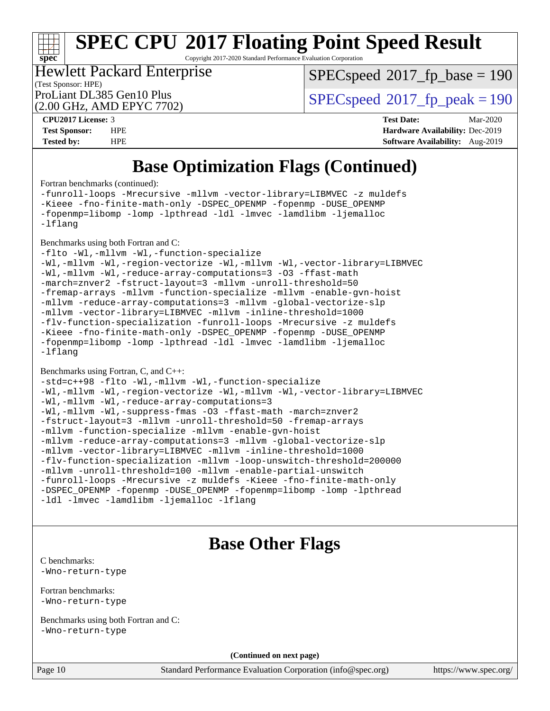Copyright 2017-2020 Standard Performance Evaluation Corporation

### (Test Sponsor: HPE) Hewlett Packard Enterprise

[SPECspeed](http://www.spec.org/auto/cpu2017/Docs/result-fields.html#SPECspeed2017fpbase)<sup>®</sup>2017 fp base = 190

ProLiant DL385 Gen10 Plus  $SPEC speed@2017$  fp\_peak = 190

|                                | (2.00 GHz, AMD EPYC 7702) |
|--------------------------------|---------------------------|
| CPU <sub>2017</sub> License: 3 |                           |
| Test Snonsor <sup>.</sup>      | - HPE                     |

**[spec](http://www.spec.org/)**

**[CPU2017 License:](http://www.spec.org/auto/cpu2017/Docs/result-fields.html#CPU2017License)** 3 **[Test Date:](http://www.spec.org/auto/cpu2017/Docs/result-fields.html#TestDate)** Mar-2020 **[Test Sponsor:](http://www.spec.org/auto/cpu2017/Docs/result-fields.html#TestSponsor)** HPE **[Hardware Availability:](http://www.spec.org/auto/cpu2017/Docs/result-fields.html#HardwareAvailability)** Dec-2019 **[Tested by:](http://www.spec.org/auto/cpu2017/Docs/result-fields.html#Testedby)** HPE **[Software Availability:](http://www.spec.org/auto/cpu2017/Docs/result-fields.html#SoftwareAvailability)** Aug-2019

# **[Base Optimization Flags \(Continued\)](http://www.spec.org/auto/cpu2017/Docs/result-fields.html#BaseOptimizationFlags)**

[Fortran benchmarks](http://www.spec.org/auto/cpu2017/Docs/result-fields.html#Fortranbenchmarks) (continued):

[-funroll-loops](http://www.spec.org/cpu2017/results/res2020q2/cpu2017-20200413-21984.flags.html#user_FCbase_aocc-unroll-loops) [-Mrecursive](http://www.spec.org/cpu2017/results/res2020q2/cpu2017-20200413-21984.flags.html#user_FCbase_F-mrecursive_20a145d63f12d5750a899e17d4450b5b8b40330a9bb4af13688ca650e6fb30857bbbe44fb35cdbb895df6e5b2769de0a0d7659f51ff17acfbef6febafec4023f) [-mllvm -vector-library=LIBMVEC](http://www.spec.org/cpu2017/results/res2020q2/cpu2017-20200413-21984.flags.html#user_FCbase_F-use-vector-library_e584e20b4f7ec96aa109254b65d8e01d864f3d68580371b9d93ed7c338191d4cfce20c3c864632264effc6bbe4c7c38153d02096a342ee92501c4a53204a7871) [-z muldefs](http://www.spec.org/cpu2017/results/res2020q2/cpu2017-20200413-21984.flags.html#user_FCbase_aocc-muldefs) [-Kieee](http://www.spec.org/cpu2017/results/res2020q2/cpu2017-20200413-21984.flags.html#user_FCbase_F-kieee) [-fno-finite-math-only](http://www.spec.org/cpu2017/results/res2020q2/cpu2017-20200413-21984.flags.html#user_FCbase_aocc-fno-finite-math-only) [-DSPEC\\_OPENMP](http://www.spec.org/cpu2017/results/res2020q2/cpu2017-20200413-21984.flags.html#suite_FCbase_DSPEC_OPENMP) [-fopenmp](http://www.spec.org/cpu2017/results/res2020q2/cpu2017-20200413-21984.flags.html#user_FCbase_aocc-fopenmp) [-DUSE\\_OPENMP](http://www.spec.org/cpu2017/results/res2020q2/cpu2017-20200413-21984.flags.html#user_FCbase_F-DUSE_OPENMP) [-fopenmp=libomp](http://www.spec.org/cpu2017/results/res2020q2/cpu2017-20200413-21984.flags.html#user_FCbase_aocc-fopenmp_3eb6ab80166bcc84161ff8c20c8d5bc344f88119f45620444596454f7d72e99b7a0ceefc2d1b4d190bd07306bbfdfc20f11f5a2dc69c9b03c72239f8406741c3) [-lomp](http://www.spec.org/cpu2017/results/res2020q2/cpu2017-20200413-21984.flags.html#user_FCbase_F-lomp) [-lpthread](http://www.spec.org/cpu2017/results/res2020q2/cpu2017-20200413-21984.flags.html#user_FCbase_F-lpthread) [-ldl](http://www.spec.org/cpu2017/results/res2020q2/cpu2017-20200413-21984.flags.html#user_FCbase_F-ldl) [-lmvec](http://www.spec.org/cpu2017/results/res2020q2/cpu2017-20200413-21984.flags.html#user_FCbase_F-lmvec) [-lamdlibm](http://www.spec.org/cpu2017/results/res2020q2/cpu2017-20200413-21984.flags.html#user_FCbase_F-lamdlibm) [-ljemalloc](http://www.spec.org/cpu2017/results/res2020q2/cpu2017-20200413-21984.flags.html#user_FCbase_jemalloc-lib) [-lflang](http://www.spec.org/cpu2017/results/res2020q2/cpu2017-20200413-21984.flags.html#user_FCbase_F-lflang)

[Benchmarks using both Fortran and C](http://www.spec.org/auto/cpu2017/Docs/result-fields.html#BenchmarksusingbothFortranandC):

[-flto](http://www.spec.org/cpu2017/results/res2020q2/cpu2017-20200413-21984.flags.html#user_CC_FCbase_aocc-flto) [-Wl,-mllvm -Wl,-function-specialize](http://www.spec.org/cpu2017/results/res2020q2/cpu2017-20200413-21984.flags.html#user_CC_FCbase_F-function-specialize_7e7e661e57922243ee67c9a1251cb8910e607325179a0ce7f2884e09a6f5d4a5ef0ae4f37e8a2a11c95fc48e931f06dc2b6016f14b511fcb441e048bef1b065a) [-Wl,-mllvm -Wl,-region-vectorize](http://www.spec.org/cpu2017/results/res2020q2/cpu2017-20200413-21984.flags.html#user_CC_FCbase_F-region-vectorize_fb6c6b5aa293c88efc6c7c2b52b20755e943585b1fe8658c35afef78727fff56e1a56891413c30e36b8e2a6f9a71126986319243e80eb6110b78b288f533c52b) [-Wl,-mllvm -Wl,-vector-library=LIBMVEC](http://www.spec.org/cpu2017/results/res2020q2/cpu2017-20200413-21984.flags.html#user_CC_FCbase_F-use-vector-library_0a14b27fae317f283640384a31f7bfcc2bd4c1d0b5cfc618a3a430800c9b20217b00f61303eff223a3251b4f06ffbc9739dc5296db9d1fbb9ad24a3939d86d66) [-Wl,-mllvm -Wl,-reduce-array-computations=3](http://www.spec.org/cpu2017/results/res2020q2/cpu2017-20200413-21984.flags.html#user_CC_FCbase_F-reduce-array-computations_b882aefe7a5dda4e33149f6299762b9a720dace3e498e13756f4c04e5a19edf5315c1f3993de2e61ec41e8c206231f84e05da7040e1bb5d69ba27d10a12507e4) [-O3](http://www.spec.org/cpu2017/results/res2020q2/cpu2017-20200413-21984.flags.html#user_CC_FCbase_F-O3) [-ffast-math](http://www.spec.org/cpu2017/results/res2020q2/cpu2017-20200413-21984.flags.html#user_CC_FCbase_aocc-ffast-math) [-march=znver2](http://www.spec.org/cpu2017/results/res2020q2/cpu2017-20200413-21984.flags.html#user_CC_FCbase_aocc-march_3e2e19cff2eeef60c5d90b059483627c9ea47eca6d66670dbd53f9185f6439e27eb5e104cf773e9e8ab18c8842ce63e461a3e948d0214bd567ef3ade411bf467) [-fstruct-layout=3](http://www.spec.org/cpu2017/results/res2020q2/cpu2017-20200413-21984.flags.html#user_CC_FCbase_F-struct-layout) [-mllvm -unroll-threshold=50](http://www.spec.org/cpu2017/results/res2020q2/cpu2017-20200413-21984.flags.html#user_CC_FCbase_F-unroll-threshold_458874500b2c105d6d5cb4d7a611c40e2b16e9e3d26b355fea72d644c3673b4de4b3932662f0ed3dbec75c491a13da2d2ca81180bd779dc531083ef1e1e549dc) [-fremap-arrays](http://www.spec.org/cpu2017/results/res2020q2/cpu2017-20200413-21984.flags.html#user_CC_FCbase_F-fremap-arrays) [-mllvm -function-specialize](http://www.spec.org/cpu2017/results/res2020q2/cpu2017-20200413-21984.flags.html#user_CC_FCbase_F-function-specialize_233b3bdba86027f1b094368157e481c5bc59f40286dc25bfadc1858dcd5745c24fd30d5f188710db7fea399bcc9f44a80b3ce3aacc70a8870250c3ae5e1f35b8) [-mllvm -enable-gvn-hoist](http://www.spec.org/cpu2017/results/res2020q2/cpu2017-20200413-21984.flags.html#user_CC_FCbase_F-enable-gvn-hoist_e5856354646dd6ca1333a0ad99b817e4cf8932b91b82809fd8fd47ceff7b22a89eba5c98fd3e3fa5200368fd772cec3dd56abc3c8f7b655a71b9f9848dddedd5) [-mllvm -reduce-array-computations=3](http://www.spec.org/cpu2017/results/res2020q2/cpu2017-20200413-21984.flags.html#user_CC_FCbase_F-reduce-array-computations_aceadb8604558b566e0e3a0d7a3c1533923dd1fa0889614e16288028922629a28d5695c24d3b3be4306b1e311c54317dfffe3a2e57fbcaabc737a1798de39145) [-mllvm -global-vectorize-slp](http://www.spec.org/cpu2017/results/res2020q2/cpu2017-20200413-21984.flags.html#user_CC_FCbase_F-global-vectorize-slp_a3935e8627af4ced727033b1ffd4db27f4d541a363d28d82bf4c2925fb3a0fd4115d6e42d13a2829f9e024d6608eb67a85cb49770f2da5c5ac8dbc737afad603) [-mllvm -vector-library=LIBMVEC](http://www.spec.org/cpu2017/results/res2020q2/cpu2017-20200413-21984.flags.html#user_CC_FCbase_F-use-vector-library_e584e20b4f7ec96aa109254b65d8e01d864f3d68580371b9d93ed7c338191d4cfce20c3c864632264effc6bbe4c7c38153d02096a342ee92501c4a53204a7871) [-mllvm -inline-threshold=1000](http://www.spec.org/cpu2017/results/res2020q2/cpu2017-20200413-21984.flags.html#user_CC_FCbase_dragonegg-llvm-inline-threshold_b7832241b0a6397e4ecdbaf0eb7defdc10f885c2a282fa3240fdc99844d543fda39cf8a4a9dccf68cf19b5438ac3b455264f478df15da0f4988afa40d8243bab) [-flv-function-specialization](http://www.spec.org/cpu2017/results/res2020q2/cpu2017-20200413-21984.flags.html#user_CC_FCbase_F-flv-function-specialization) [-funroll-loops](http://www.spec.org/cpu2017/results/res2020q2/cpu2017-20200413-21984.flags.html#user_CC_FCbase_aocc-unroll-loops) [-Mrecursive](http://www.spec.org/cpu2017/results/res2020q2/cpu2017-20200413-21984.flags.html#user_CC_FCbase_F-mrecursive_20a145d63f12d5750a899e17d4450b5b8b40330a9bb4af13688ca650e6fb30857bbbe44fb35cdbb895df6e5b2769de0a0d7659f51ff17acfbef6febafec4023f) [-z muldefs](http://www.spec.org/cpu2017/results/res2020q2/cpu2017-20200413-21984.flags.html#user_CC_FCbase_aocc-muldefs) [-Kieee](http://www.spec.org/cpu2017/results/res2020q2/cpu2017-20200413-21984.flags.html#user_CC_FCbase_F-kieee) [-fno-finite-math-only](http://www.spec.org/cpu2017/results/res2020q2/cpu2017-20200413-21984.flags.html#user_CC_FCbase_aocc-fno-finite-math-only) [-DSPEC\\_OPENMP](http://www.spec.org/cpu2017/results/res2020q2/cpu2017-20200413-21984.flags.html#suite_CC_FCbase_DSPEC_OPENMP) [-fopenmp](http://www.spec.org/cpu2017/results/res2020q2/cpu2017-20200413-21984.flags.html#user_CC_FCbase_aocc-fopenmp) [-DUSE\\_OPENMP](http://www.spec.org/cpu2017/results/res2020q2/cpu2017-20200413-21984.flags.html#user_CC_FCbase_F-DUSE_OPENMP) [-fopenmp=libomp](http://www.spec.org/cpu2017/results/res2020q2/cpu2017-20200413-21984.flags.html#user_CC_FCbase_aocc-fopenmp_3eb6ab80166bcc84161ff8c20c8d5bc344f88119f45620444596454f7d72e99b7a0ceefc2d1b4d190bd07306bbfdfc20f11f5a2dc69c9b03c72239f8406741c3) [-lomp](http://www.spec.org/cpu2017/results/res2020q2/cpu2017-20200413-21984.flags.html#user_CC_FCbase_F-lomp) [-lpthread](http://www.spec.org/cpu2017/results/res2020q2/cpu2017-20200413-21984.flags.html#user_CC_FCbase_F-lpthread) [-ldl](http://www.spec.org/cpu2017/results/res2020q2/cpu2017-20200413-21984.flags.html#user_CC_FCbase_F-ldl) [-lmvec](http://www.spec.org/cpu2017/results/res2020q2/cpu2017-20200413-21984.flags.html#user_CC_FCbase_F-lmvec) [-lamdlibm](http://www.spec.org/cpu2017/results/res2020q2/cpu2017-20200413-21984.flags.html#user_CC_FCbase_F-lamdlibm) [-ljemalloc](http://www.spec.org/cpu2017/results/res2020q2/cpu2017-20200413-21984.flags.html#user_CC_FCbase_jemalloc-lib) [-lflang](http://www.spec.org/cpu2017/results/res2020q2/cpu2017-20200413-21984.flags.html#user_CC_FCbase_F-lflang)

#### [Benchmarks using Fortran, C, and C++:](http://www.spec.org/auto/cpu2017/Docs/result-fields.html#BenchmarksusingFortranCandCXX)

[-std=c++98](http://www.spec.org/cpu2017/results/res2020q2/cpu2017-20200413-21984.flags.html#user_CC_CXX_FCbase_std-cpp) [-flto](http://www.spec.org/cpu2017/results/res2020q2/cpu2017-20200413-21984.flags.html#user_CC_CXX_FCbase_aocc-flto) [-Wl,-mllvm -Wl,-function-specialize](http://www.spec.org/cpu2017/results/res2020q2/cpu2017-20200413-21984.flags.html#user_CC_CXX_FCbase_F-function-specialize_7e7e661e57922243ee67c9a1251cb8910e607325179a0ce7f2884e09a6f5d4a5ef0ae4f37e8a2a11c95fc48e931f06dc2b6016f14b511fcb441e048bef1b065a) [-Wl,-mllvm -Wl,-region-vectorize](http://www.spec.org/cpu2017/results/res2020q2/cpu2017-20200413-21984.flags.html#user_CC_CXX_FCbase_F-region-vectorize_fb6c6b5aa293c88efc6c7c2b52b20755e943585b1fe8658c35afef78727fff56e1a56891413c30e36b8e2a6f9a71126986319243e80eb6110b78b288f533c52b) [-Wl,-mllvm -Wl,-vector-library=LIBMVEC](http://www.spec.org/cpu2017/results/res2020q2/cpu2017-20200413-21984.flags.html#user_CC_CXX_FCbase_F-use-vector-library_0a14b27fae317f283640384a31f7bfcc2bd4c1d0b5cfc618a3a430800c9b20217b00f61303eff223a3251b4f06ffbc9739dc5296db9d1fbb9ad24a3939d86d66) [-Wl,-mllvm -Wl,-reduce-array-computations=3](http://www.spec.org/cpu2017/results/res2020q2/cpu2017-20200413-21984.flags.html#user_CC_CXX_FCbase_F-reduce-array-computations_b882aefe7a5dda4e33149f6299762b9a720dace3e498e13756f4c04e5a19edf5315c1f3993de2e61ec41e8c206231f84e05da7040e1bb5d69ba27d10a12507e4) [-Wl,-mllvm -Wl,-suppress-fmas](http://www.spec.org/cpu2017/results/res2020q2/cpu2017-20200413-21984.flags.html#user_CC_CXX_FCbase_F-suppress-fmas_f00f00630e4a059e8af9c161e9bbf420bcf19890a7f99d5933525e66aa4b0bb3ab2339d2b12d97d3a5f5d271e839fe9c109938e91fe06230fb53651590cfa1e8) [-O3](http://www.spec.org/cpu2017/results/res2020q2/cpu2017-20200413-21984.flags.html#user_CC_CXX_FCbase_F-O3) [-ffast-math](http://www.spec.org/cpu2017/results/res2020q2/cpu2017-20200413-21984.flags.html#user_CC_CXX_FCbase_aocc-ffast-math) [-march=znver2](http://www.spec.org/cpu2017/results/res2020q2/cpu2017-20200413-21984.flags.html#user_CC_CXX_FCbase_aocc-march_3e2e19cff2eeef60c5d90b059483627c9ea47eca6d66670dbd53f9185f6439e27eb5e104cf773e9e8ab18c8842ce63e461a3e948d0214bd567ef3ade411bf467) [-fstruct-layout=3](http://www.spec.org/cpu2017/results/res2020q2/cpu2017-20200413-21984.flags.html#user_CC_CXX_FCbase_F-struct-layout) [-mllvm -unroll-threshold=50](http://www.spec.org/cpu2017/results/res2020q2/cpu2017-20200413-21984.flags.html#user_CC_CXX_FCbase_F-unroll-threshold_458874500b2c105d6d5cb4d7a611c40e2b16e9e3d26b355fea72d644c3673b4de4b3932662f0ed3dbec75c491a13da2d2ca81180bd779dc531083ef1e1e549dc) [-fremap-arrays](http://www.spec.org/cpu2017/results/res2020q2/cpu2017-20200413-21984.flags.html#user_CC_CXX_FCbase_F-fremap-arrays) [-mllvm -function-specialize](http://www.spec.org/cpu2017/results/res2020q2/cpu2017-20200413-21984.flags.html#user_CC_CXX_FCbase_F-function-specialize_233b3bdba86027f1b094368157e481c5bc59f40286dc25bfadc1858dcd5745c24fd30d5f188710db7fea399bcc9f44a80b3ce3aacc70a8870250c3ae5e1f35b8) [-mllvm -enable-gvn-hoist](http://www.spec.org/cpu2017/results/res2020q2/cpu2017-20200413-21984.flags.html#user_CC_CXX_FCbase_F-enable-gvn-hoist_e5856354646dd6ca1333a0ad99b817e4cf8932b91b82809fd8fd47ceff7b22a89eba5c98fd3e3fa5200368fd772cec3dd56abc3c8f7b655a71b9f9848dddedd5) [-mllvm -reduce-array-computations=3](http://www.spec.org/cpu2017/results/res2020q2/cpu2017-20200413-21984.flags.html#user_CC_CXX_FCbase_F-reduce-array-computations_aceadb8604558b566e0e3a0d7a3c1533923dd1fa0889614e16288028922629a28d5695c24d3b3be4306b1e311c54317dfffe3a2e57fbcaabc737a1798de39145) [-mllvm -global-vectorize-slp](http://www.spec.org/cpu2017/results/res2020q2/cpu2017-20200413-21984.flags.html#user_CC_CXX_FCbase_F-global-vectorize-slp_a3935e8627af4ced727033b1ffd4db27f4d541a363d28d82bf4c2925fb3a0fd4115d6e42d13a2829f9e024d6608eb67a85cb49770f2da5c5ac8dbc737afad603) [-mllvm -vector-library=LIBMVEC](http://www.spec.org/cpu2017/results/res2020q2/cpu2017-20200413-21984.flags.html#user_CC_CXX_FCbase_F-use-vector-library_e584e20b4f7ec96aa109254b65d8e01d864f3d68580371b9d93ed7c338191d4cfce20c3c864632264effc6bbe4c7c38153d02096a342ee92501c4a53204a7871) [-mllvm -inline-threshold=1000](http://www.spec.org/cpu2017/results/res2020q2/cpu2017-20200413-21984.flags.html#user_CC_CXX_FCbase_dragonegg-llvm-inline-threshold_b7832241b0a6397e4ecdbaf0eb7defdc10f885c2a282fa3240fdc99844d543fda39cf8a4a9dccf68cf19b5438ac3b455264f478df15da0f4988afa40d8243bab) [-flv-function-specialization](http://www.spec.org/cpu2017/results/res2020q2/cpu2017-20200413-21984.flags.html#user_CC_CXX_FCbase_F-flv-function-specialization) [-mllvm -loop-unswitch-threshold=200000](http://www.spec.org/cpu2017/results/res2020q2/cpu2017-20200413-21984.flags.html#user_CC_CXX_FCbase_F-loop-unswitch-threshold_f9a82ae3270e55b5fbf79d0d96ee93606b73edbbe527d20b18b7bff1a3a146ad50cfc7454c5297978340ae9213029016a7d16221274d672d3f7f42ed25274e1d) [-mllvm -unroll-threshold=100](http://www.spec.org/cpu2017/results/res2020q2/cpu2017-20200413-21984.flags.html#user_CC_CXX_FCbase_F-unroll-threshold_2755d0c78138845d361fa1543e3a063fffa198df9b3edf0cfb856bbc88a81e1769b12ac7a550c5d35197be55360db1a3f95a8d1304df999456cabf5120c45168) [-mllvm -enable-partial-unswitch](http://www.spec.org/cpu2017/results/res2020q2/cpu2017-20200413-21984.flags.html#user_CC_CXX_FCbase_F-enable-partial-unswitch_6e1c33f981d77963b1eaf834973128a7f33ce3f8e27f54689656697a35e89dcc875281e0e6283d043e32f367dcb605ba0e307a92e830f7e326789fa6c61b35d3) [-funroll-loops](http://www.spec.org/cpu2017/results/res2020q2/cpu2017-20200413-21984.flags.html#user_CC_CXX_FCbase_aocc-unroll-loops) [-Mrecursive](http://www.spec.org/cpu2017/results/res2020q2/cpu2017-20200413-21984.flags.html#user_CC_CXX_FCbase_F-mrecursive_20a145d63f12d5750a899e17d4450b5b8b40330a9bb4af13688ca650e6fb30857bbbe44fb35cdbb895df6e5b2769de0a0d7659f51ff17acfbef6febafec4023f) [-z muldefs](http://www.spec.org/cpu2017/results/res2020q2/cpu2017-20200413-21984.flags.html#user_CC_CXX_FCbase_aocc-muldefs) [-Kieee](http://www.spec.org/cpu2017/results/res2020q2/cpu2017-20200413-21984.flags.html#user_CC_CXX_FCbase_F-kieee) [-fno-finite-math-only](http://www.spec.org/cpu2017/results/res2020q2/cpu2017-20200413-21984.flags.html#user_CC_CXX_FCbase_aocc-fno-finite-math-only) [-DSPEC\\_OPENMP](http://www.spec.org/cpu2017/results/res2020q2/cpu2017-20200413-21984.flags.html#suite_CC_CXX_FCbase_DSPEC_OPENMP) [-fopenmp](http://www.spec.org/cpu2017/results/res2020q2/cpu2017-20200413-21984.flags.html#user_CC_CXX_FCbase_aocc-fopenmp) [-DUSE\\_OPENMP](http://www.spec.org/cpu2017/results/res2020q2/cpu2017-20200413-21984.flags.html#user_CC_CXX_FCbase_F-DUSE_OPENMP) [-fopenmp=libomp](http://www.spec.org/cpu2017/results/res2020q2/cpu2017-20200413-21984.flags.html#user_CC_CXX_FCbase_aocc-fopenmp_3eb6ab80166bcc84161ff8c20c8d5bc344f88119f45620444596454f7d72e99b7a0ceefc2d1b4d190bd07306bbfdfc20f11f5a2dc69c9b03c72239f8406741c3) [-lomp](http://www.spec.org/cpu2017/results/res2020q2/cpu2017-20200413-21984.flags.html#user_CC_CXX_FCbase_F-lomp) [-lpthread](http://www.spec.org/cpu2017/results/res2020q2/cpu2017-20200413-21984.flags.html#user_CC_CXX_FCbase_F-lpthread) [-ldl](http://www.spec.org/cpu2017/results/res2020q2/cpu2017-20200413-21984.flags.html#user_CC_CXX_FCbase_F-ldl) [-lmvec](http://www.spec.org/cpu2017/results/res2020q2/cpu2017-20200413-21984.flags.html#user_CC_CXX_FCbase_F-lmvec) [-lamdlibm](http://www.spec.org/cpu2017/results/res2020q2/cpu2017-20200413-21984.flags.html#user_CC_CXX_FCbase_F-lamdlibm) [-ljemalloc](http://www.spec.org/cpu2017/results/res2020q2/cpu2017-20200413-21984.flags.html#user_CC_CXX_FCbase_jemalloc-lib) [-lflang](http://www.spec.org/cpu2017/results/res2020q2/cpu2017-20200413-21984.flags.html#user_CC_CXX_FCbase_F-lflang)

## **[Base Other Flags](http://www.spec.org/auto/cpu2017/Docs/result-fields.html#BaseOtherFlags)**

[C benchmarks](http://www.spec.org/auto/cpu2017/Docs/result-fields.html#Cbenchmarks): [-Wno-return-type](http://www.spec.org/cpu2017/results/res2020q2/cpu2017-20200413-21984.flags.html#user_CCbase_F-Waocc-no-return-type)

[Fortran benchmarks](http://www.spec.org/auto/cpu2017/Docs/result-fields.html#Fortranbenchmarks): [-Wno-return-type](http://www.spec.org/cpu2017/results/res2020q2/cpu2017-20200413-21984.flags.html#user_FCbase_F-Waocc-no-return-type)

[Benchmarks using both Fortran and C](http://www.spec.org/auto/cpu2017/Docs/result-fields.html#BenchmarksusingbothFortranandC): [-Wno-return-type](http://www.spec.org/cpu2017/results/res2020q2/cpu2017-20200413-21984.flags.html#user_CC_FCbase_F-Waocc-no-return-type)

**(Continued on next page)**

Page 10 Standard Performance Evaluation Corporation [\(info@spec.org\)](mailto:info@spec.org) <https://www.spec.org/>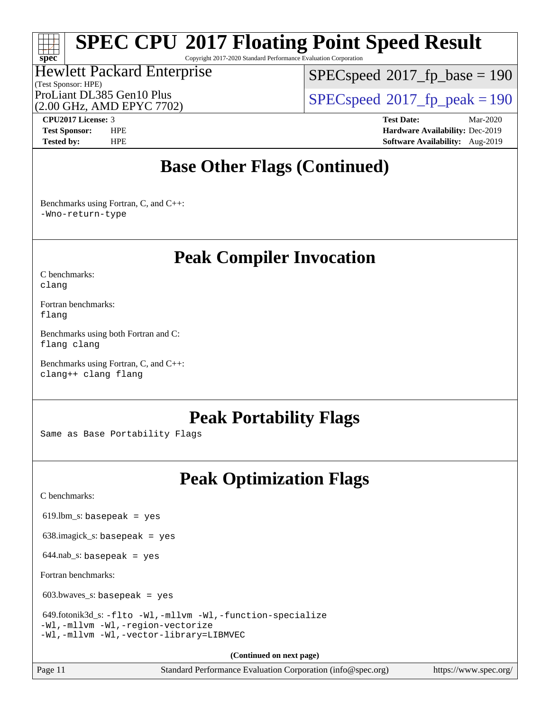Copyright 2017-2020 Standard Performance Evaluation Corporation

### (Test Sponsor: HPE) Hewlett Packard Enterprise (2.00 GHz, AMD EPYC 7702)

[SPECspeed](http://www.spec.org/auto/cpu2017/Docs/result-fields.html#SPECspeed2017fpbase)<sup>®</sup>2017 fp base = 190

ProLiant DL385 Gen10 Plus  $SPEC speed@2017$  fp\_peak = 190

**[spec](http://www.spec.org/)**

**[CPU2017 License:](http://www.spec.org/auto/cpu2017/Docs/result-fields.html#CPU2017License)** 3 **[Test Date:](http://www.spec.org/auto/cpu2017/Docs/result-fields.html#TestDate)** Mar-2020 **[Test Sponsor:](http://www.spec.org/auto/cpu2017/Docs/result-fields.html#TestSponsor)** HPE **[Hardware Availability:](http://www.spec.org/auto/cpu2017/Docs/result-fields.html#HardwareAvailability)** Dec-2019 **[Tested by:](http://www.spec.org/auto/cpu2017/Docs/result-fields.html#Testedby)** HPE **[Software Availability:](http://www.spec.org/auto/cpu2017/Docs/result-fields.html#SoftwareAvailability)** Aug-2019

## **[Base Other Flags \(Continued\)](http://www.spec.org/auto/cpu2017/Docs/result-fields.html#BaseOtherFlags)**

[Benchmarks using Fortran, C, and C++:](http://www.spec.org/auto/cpu2017/Docs/result-fields.html#BenchmarksusingFortranCandCXX) [-Wno-return-type](http://www.spec.org/cpu2017/results/res2020q2/cpu2017-20200413-21984.flags.html#user_CC_CXX_FCbase_F-Waocc-no-return-type)

## **[Peak Compiler Invocation](http://www.spec.org/auto/cpu2017/Docs/result-fields.html#PeakCompilerInvocation)**

[C benchmarks](http://www.spec.org/auto/cpu2017/Docs/result-fields.html#Cbenchmarks): [clang](http://www.spec.org/cpu2017/results/res2020q2/cpu2017-20200413-21984.flags.html#user_CCpeak_clang-c)

[Fortran benchmarks](http://www.spec.org/auto/cpu2017/Docs/result-fields.html#Fortranbenchmarks): [flang](http://www.spec.org/cpu2017/results/res2020q2/cpu2017-20200413-21984.flags.html#user_FCpeak_flang)

[Benchmarks using both Fortran and C](http://www.spec.org/auto/cpu2017/Docs/result-fields.html#BenchmarksusingbothFortranandC): [flang](http://www.spec.org/cpu2017/results/res2020q2/cpu2017-20200413-21984.flags.html#user_CC_FCpeak_flang) [clang](http://www.spec.org/cpu2017/results/res2020q2/cpu2017-20200413-21984.flags.html#user_CC_FCpeak_clang-c)

[Benchmarks using Fortran, C, and C++:](http://www.spec.org/auto/cpu2017/Docs/result-fields.html#BenchmarksusingFortranCandCXX) [clang++](http://www.spec.org/cpu2017/results/res2020q2/cpu2017-20200413-21984.flags.html#user_CC_CXX_FCpeak_clang-cpp) [clang](http://www.spec.org/cpu2017/results/res2020q2/cpu2017-20200413-21984.flags.html#user_CC_CXX_FCpeak_clang-c) [flang](http://www.spec.org/cpu2017/results/res2020q2/cpu2017-20200413-21984.flags.html#user_CC_CXX_FCpeak_flang)

## **[Peak Portability Flags](http://www.spec.org/auto/cpu2017/Docs/result-fields.html#PeakPortabilityFlags)**

Same as Base Portability Flags

## **[Peak Optimization Flags](http://www.spec.org/auto/cpu2017/Docs/result-fields.html#PeakOptimizationFlags)**

[C benchmarks](http://www.spec.org/auto/cpu2017/Docs/result-fields.html#Cbenchmarks):

 $619.$ lbm\_s: basepeak = yes

638.imagick\_s: basepeak = yes

 $644$ .nab\_s: basepeak = yes

[Fortran benchmarks](http://www.spec.org/auto/cpu2017/Docs/result-fields.html#Fortranbenchmarks):

603.bwaves\_s: basepeak = yes

```
 649.fotonik3d_s: -flto -Wl,-mllvm -Wl,-function-specialize
-Wl,-mllvm -Wl,-region-vectorize
-Wl,-mllvm -Wl,-vector-library=LIBMVEC
```
**(Continued on next page)**

Page 11 Standard Performance Evaluation Corporation [\(info@spec.org\)](mailto:info@spec.org) <https://www.spec.org/>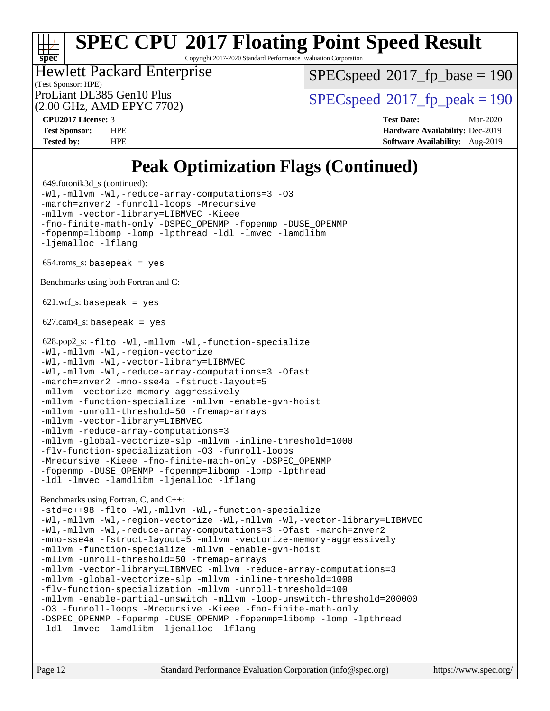Copyright 2017-2020 Standard Performance Evaluation Corporation

(Test Sponsor: HPE) Hewlett Packard Enterprise (2.00 GHz, AMD EPYC 7702)

[SPECspeed](http://www.spec.org/auto/cpu2017/Docs/result-fields.html#SPECspeed2017fpbase)<sup>®</sup>2017 fp base = 190

ProLiant DL385 Gen10 Plus  $SPEC speed@2017$  fp\_peak = 190

**[spec](http://www.spec.org/)**

**[CPU2017 License:](http://www.spec.org/auto/cpu2017/Docs/result-fields.html#CPU2017License)** 3 **[Test Date:](http://www.spec.org/auto/cpu2017/Docs/result-fields.html#TestDate)** Mar-2020 **[Test Sponsor:](http://www.spec.org/auto/cpu2017/Docs/result-fields.html#TestSponsor)** HPE **[Hardware Availability:](http://www.spec.org/auto/cpu2017/Docs/result-fields.html#HardwareAvailability)** Dec-2019 **[Tested by:](http://www.spec.org/auto/cpu2017/Docs/result-fields.html#Testedby)** HPE **[Software Availability:](http://www.spec.org/auto/cpu2017/Docs/result-fields.html#SoftwareAvailability)** Aug-2019

# **[Peak Optimization Flags \(Continued\)](http://www.spec.org/auto/cpu2017/Docs/result-fields.html#PeakOptimizationFlags)**

```
 649.fotonik3d_s (continued):
-Wl,-mllvm -Wl,-reduce-array-computations=3 -O3
-march=znver2 -funroll-loops -Mrecursive
-mllvm -vector-library=LIBMVEC -Kieee
-fno-finite-math-only -DSPEC_OPENMP -fopenmp -DUSE_OPENMP
-fopenmp=libomp -lomp -lpthread -ldl -lmvec -lamdlibm
-ljemalloc -lflang
 654.roms_s: basepeak = yes
Benchmarks using both Fortran and C: 
621.wrf s: basepeak = yes
627.cam4_s: basepeak = yes
 628.pop2_s: -flto -Wl,-mllvm -Wl,-function-specialize
-Wl,-mllvm -Wl,-region-vectorize
-Wl,-mllvm -Wl,-vector-library=LIBMVEC
-Wl,-mllvm -Wl,-reduce-array-computations=3 -Ofast
-march=znver2 -mno-sse4a -fstruct-layout=5
-mllvm -vectorize-memory-aggressively
-mllvm -function-specialize -mllvm -enable-gvn-hoist
-mllvm -unroll-threshold=50 -fremap-arrays
-mllvm -vector-library=LIBMVEC
-mllvm -reduce-array-computations=3
-mllvm -global-vectorize-slp -mllvm -inline-threshold=1000
-flv-function-specialization -O3 -funroll-loops
-Mrecursive -Kieee -fno-finite-math-only -DSPEC_OPENMP
-fopenmp -DUSE_OPENMP -fopenmp=libomp -lomp -lpthread
-ldl -lmvec -lamdlibm -ljemalloc -lflang
Benchmarks using Fortran, C, and C++: 
-std=c++98 -flto -Wl,-mllvm -Wl,-function-specialize
-Wl,-mllvm -Wl,-region-vectorize -Wl,-mllvm -Wl,-vector-library=LIBMVEC
-Wl,-mllvm -Wl,-reduce-array-computations=3 -Ofast -march=znver2
-mno-sse4a -fstruct-layout=5 -mllvm -vectorize-memory-aggressively
-mllvm -function-specialize -mllvm -enable-gvn-hoist
-mllvm -unroll-threshold=50 -fremap-arrays
-mllvm -vector-library=LIBMVEC -mllvm -reduce-array-computations=3
-mllvm -global-vectorize-slp -mllvm -inline-threshold=1000
-flv-function-specialization -mllvm -unroll-threshold=100
-mllvm -enable-partial-unswitch -mllvm -loop-unswitch-threshold=200000
-O3 -funroll-loops -Mrecursive -Kieee -fno-finite-math-only
-DSPEC_OPENMP -fopenmp -DUSE_OPENMP -fopenmp=libomp -lomp -lpthread
-ldl -lmvec -lamdlibm -ljemalloc -lflang
```